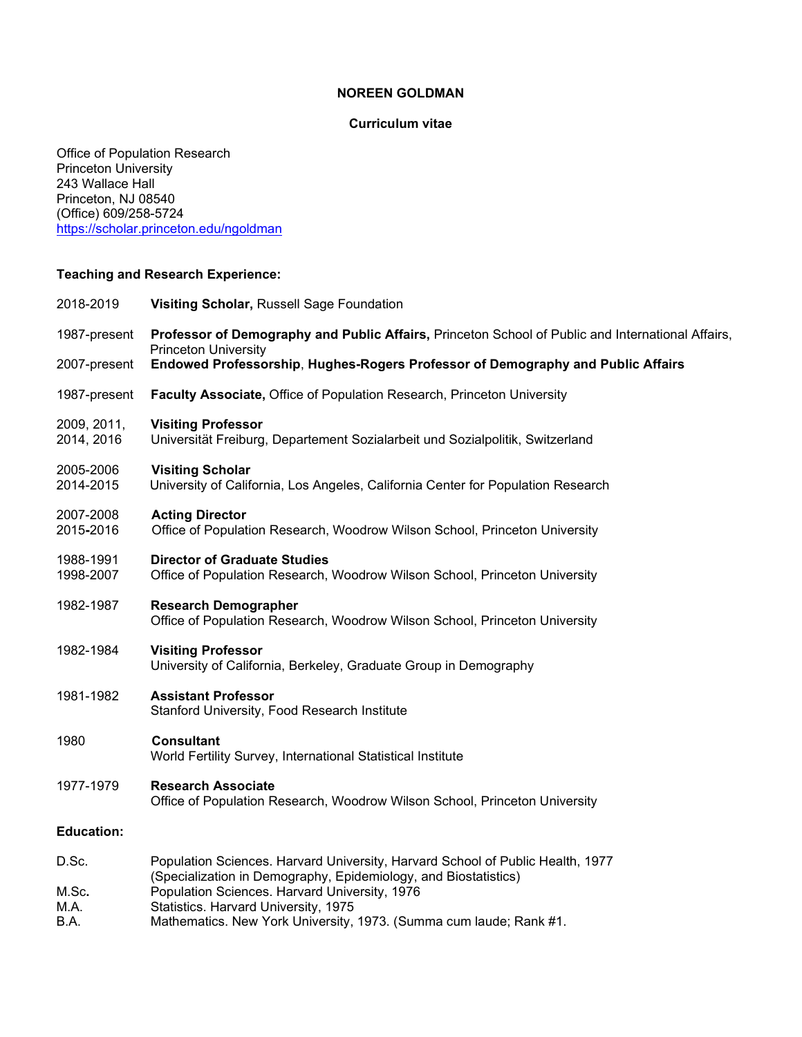## **NOREEN GOLDMAN**

# **Curriculum vitae**

Office of Population Research Princeton University 243 Wallace Hall Princeton, NJ 08540 (Office) 609/258-5724 <https://scholar.princeton.edu/ngoldman>

# **Teaching and Research Experience:**

| 2018-2019                 | Visiting Scholar, Russell Sage Foundation                                                                                                                                                                                      |
|---------------------------|--------------------------------------------------------------------------------------------------------------------------------------------------------------------------------------------------------------------------------|
| 1987-present              | Professor of Demography and Public Affairs, Princeton School of Public and International Affairs,<br><b>Princeton University</b>                                                                                               |
| 2007-present              | Endowed Professorship, Hughes-Rogers Professor of Demography and Public Affairs                                                                                                                                                |
| 1987-present              | Faculty Associate, Office of Population Research, Princeton University                                                                                                                                                         |
| 2009, 2011,<br>2014, 2016 | <b>Visiting Professor</b><br>Universität Freiburg, Departement Sozialarbeit und Sozialpolitik, Switzerland                                                                                                                     |
| 2005-2006<br>2014-2015    | <b>Visiting Scholar</b><br>University of California, Los Angeles, California Center for Population Research                                                                                                                    |
| 2007-2008<br>2015-2016    | <b>Acting Director</b><br>Office of Population Research, Woodrow Wilson School, Princeton University                                                                                                                           |
| 1988-1991<br>1998-2007    | <b>Director of Graduate Studies</b><br>Office of Population Research, Woodrow Wilson School, Princeton University                                                                                                              |
| 1982-1987                 | <b>Research Demographer</b><br>Office of Population Research, Woodrow Wilson School, Princeton University                                                                                                                      |
| 1982-1984                 | <b>Visiting Professor</b><br>University of California, Berkeley, Graduate Group in Demography                                                                                                                                  |
| 1981-1982                 | <b>Assistant Professor</b><br>Stanford University, Food Research Institute                                                                                                                                                     |
| 1980                      | <b>Consultant</b><br>World Fertility Survey, International Statistical Institute                                                                                                                                               |
| 1977-1979                 | <b>Research Associate</b><br>Office of Population Research, Woodrow Wilson School, Princeton University                                                                                                                        |
| <b>Education:</b>         |                                                                                                                                                                                                                                |
| D.Sc.                     | Population Sciences. Harvard University, Harvard School of Public Health, 1977                                                                                                                                                 |
| M.Sc.<br>M.A.<br>B.A.     | (Specialization in Demography, Epidemiology, and Biostatistics)<br>Population Sciences. Harvard University, 1976<br>Statistics. Harvard University, 1975<br>Mathematics. New York University, 1973. (Summa cum laude; Rank #1. |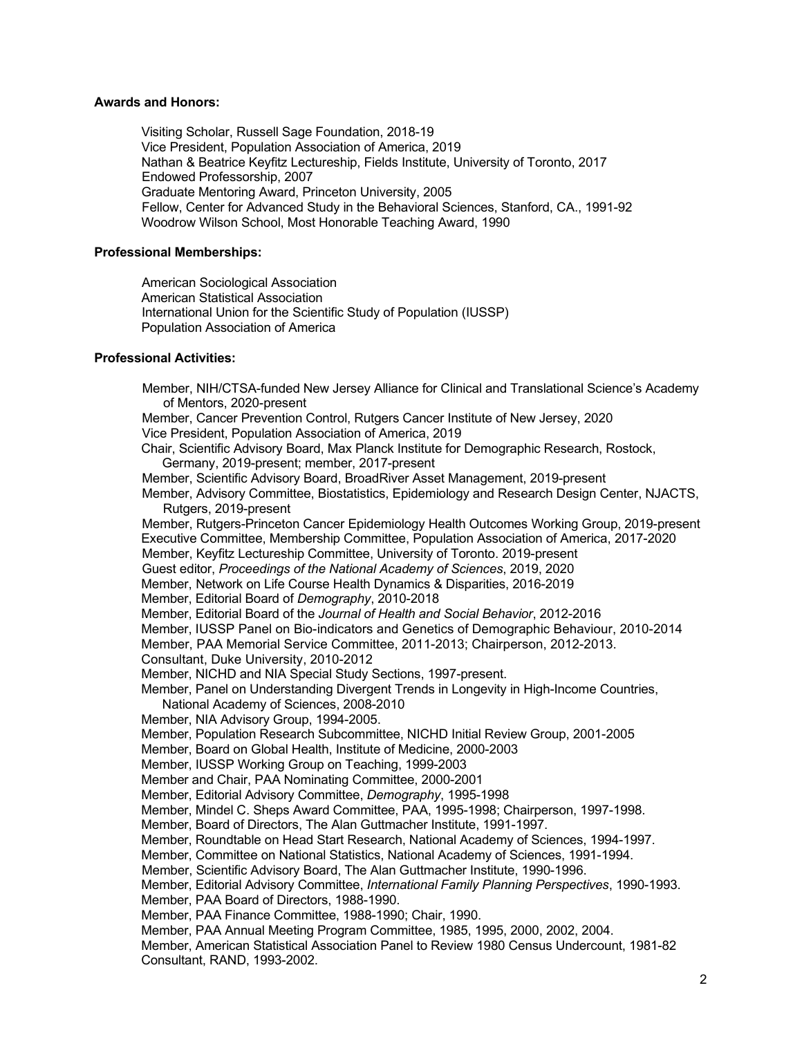### **Awards and Honors:**

Visiting Scholar, Russell Sage Foundation, 2018-19 Vice President, Population Association of America, 2019 Nathan & Beatrice Keyfitz Lectureship, Fields Institute, University of Toronto, 2017 Endowed Professorship, 2007 Graduate Mentoring Award, Princeton University, 2005 Fellow, Center for Advanced Study in the Behavioral Sciences, Stanford, CA., 1991-92 Woodrow Wilson School, Most Honorable Teaching Award, 1990

### **Professional Memberships:**

American Sociological Association American Statistical Association International Union for the Scientific Study of Population (IUSSP) Population Association of America

#### **Professional Activities:**

Member, NIH/CTSA-funded New Jersey Alliance for Clinical and Translational Science's Academy of Mentors, 2020-present Member, Cancer Prevention Control, Rutgers Cancer Institute of New Jersey, 2020 Vice President, Population Association of America, 2019 Chair, Scientific Advisory Board, Max Planck Institute for Demographic Research, Rostock, Germany, 2019-present; member, 2017-present Member, Scientific Advisory Board, BroadRiver Asset Management, 2019-present Member, Advisory Committee, Biostatistics, Epidemiology and Research Design Center, NJACTS, Rutgers, 2019-present Member, Rutgers-Princeton Cancer Epidemiology Health Outcomes Working Group, 2019-present Executive Committee, Membership Committee, Population Association of America, 2017-2020 Member, Keyfitz Lectureship Committee, University of Toronto. 2019-present Guest editor, *Proceedings of the National Academy of Sciences*, 2019, 2020 Member, Network on Life Course Health Dynamics & Disparities, 2016-2019 Member, Editorial Board of *Demography*, 2010-2018 Member, Editorial Board of the *Journal of Health and Social Behavior*, 2012-2016 Member, IUSSP Panel on Bio-indicators and Genetics of Demographic Behaviour, 2010-2014 Member, PAA Memorial Service Committee, 2011-2013; Chairperson, 2012-2013. Consultant, Duke University, 2010-2012 Member, NICHD and NIA Special Study Sections, 1997-present. Member, Panel on Understanding Divergent Trends in Longevity in High-Income Countries, National Academy of Sciences, 2008-2010 Member, NIA Advisory Group, 1994-2005. Member, Population Research Subcommittee, NICHD Initial Review Group, 2001-2005 Member, Board on Global Health, Institute of Medicine, 2000-2003 Member, IUSSP Working Group on Teaching, 1999-2003 Member and Chair, PAA Nominating Committee, 2000-2001 Member, Editorial Advisory Committee, *Demography*, 1995-1998 Member, Mindel C. Sheps Award Committee, PAA, 1995-1998; Chairperson, 1997-1998. Member, Board of Directors, The Alan Guttmacher Institute, 1991-1997. Member, Roundtable on Head Start Research, National Academy of Sciences, 1994-1997. Member, Committee on National Statistics, National Academy of Sciences, 1991-1994. Member, Scientific Advisory Board, The Alan Guttmacher Institute, 1990-1996. Member, Editorial Advisory Committee, *International Family Planning Perspectives*, 1990-1993. Member, PAA Board of Directors, 1988-1990. Member, PAA Finance Committee, 1988-1990; Chair, 1990. Member, PAA Annual Meeting Program Committee, 1985, 1995, 2000, 2002, 2004. Member, American Statistical Association Panel to Review 1980 Census Undercount, 1981-82 Consultant, RAND, 1993-2002.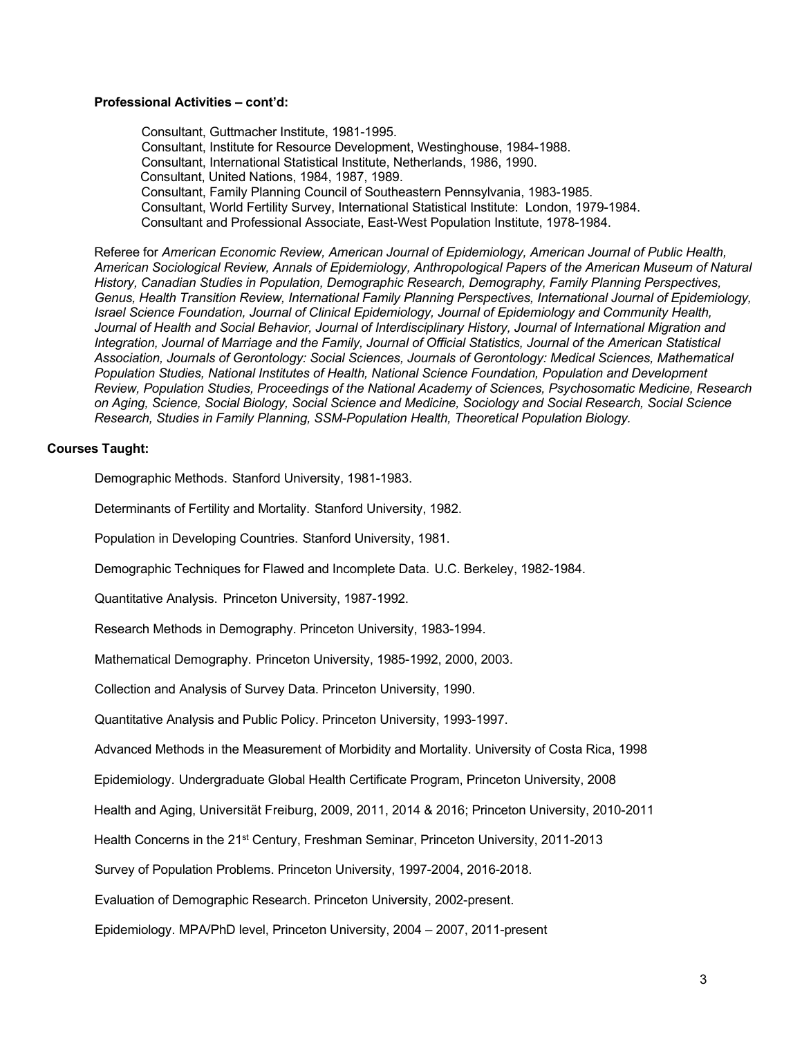## **Professional Activities – cont'd:**

Consultant, Guttmacher Institute, 1981-1995. Consultant, Institute for Resource Development, Westinghouse, 1984-1988. Consultant, International Statistical Institute, Netherlands, 1986, 1990. Consultant, United Nations, 1984, 1987, 1989. Consultant, Family Planning Council of Southeastern Pennsylvania, 1983-1985. Consultant, World Fertility Survey, International Statistical Institute: London, 1979-1984. Consultant and Professional Associate, East-West Population Institute, 1978-1984.

Referee for *American Economic Review, American Journal of Epidemiology, American Journal of Public Health, American Sociological Review, Annals of Epidemiology, Anthropological Papers of the American Museum of Natural History, Canadian Studies in Population, Demographic Research, Demography, Family Planning Perspectives, Genus, Health Transition Review, International Family Planning Perspectives, International Journal of Epidemiology, Israel Science Foundation, Journal of Clinical Epidemiology, Journal of Epidemiology and Community Health, Journal of Health and Social Behavior, Journal of Interdisciplinary History, Journal of International Migration and Integration, Journal of Marriage and the Family, Journal of Official Statistics, Journal of the American Statistical Association, Journals of Gerontology: Social Sciences, Journals of Gerontology: Medical Sciences, Mathematical Population Studies, National Institutes of Health, National Science Foundation, Population and Development Review, Population Studies, Proceedings of the National Academy of Sciences, Psychosomatic Medicine, Research on Aging, Science, Social Biology, Social Science and Medicine, Sociology and Social Research, Social Science Research, Studies in Family Planning, SSM-Population Health, Theoretical Population Biology.*

### **Courses Taught:**

Demographic Methods. Stanford University, 1981-1983.

Determinants of Fertility and Mortality. Stanford University, 1982.

Population in Developing Countries. Stanford University, 1981.

Demographic Techniques for Flawed and Incomplete Data. U.C. Berkeley, 1982-1984.

Quantitative Analysis. Princeton University, 1987-1992.

Research Methods in Demography. Princeton University, 1983-1994.

Mathematical Demography. Princeton University, 1985-1992, 2000, 2003.

Collection and Analysis of Survey Data. Princeton University, 1990.

Quantitative Analysis and Public Policy. Princeton University, 1993-1997.

Advanced Methods in the Measurement of Morbidity and Mortality. University of Costa Rica, 1998

Epidemiology. Undergraduate Global Health Certificate Program, Princeton University, 2008

Health and Aging, Universität Freiburg, 2009, 2011, 2014 & 2016; Princeton University, 2010-2011

Health Concerns in the 21<sup>st</sup> Century, Freshman Seminar, Princeton University, 2011-2013

Survey of Population Problems. Princeton University, 1997-2004, 2016-2018.

Evaluation of Demographic Research. Princeton University, 2002-present.

Epidemiology. MPA/PhD level, Princeton University, 2004 – 2007, 2011-present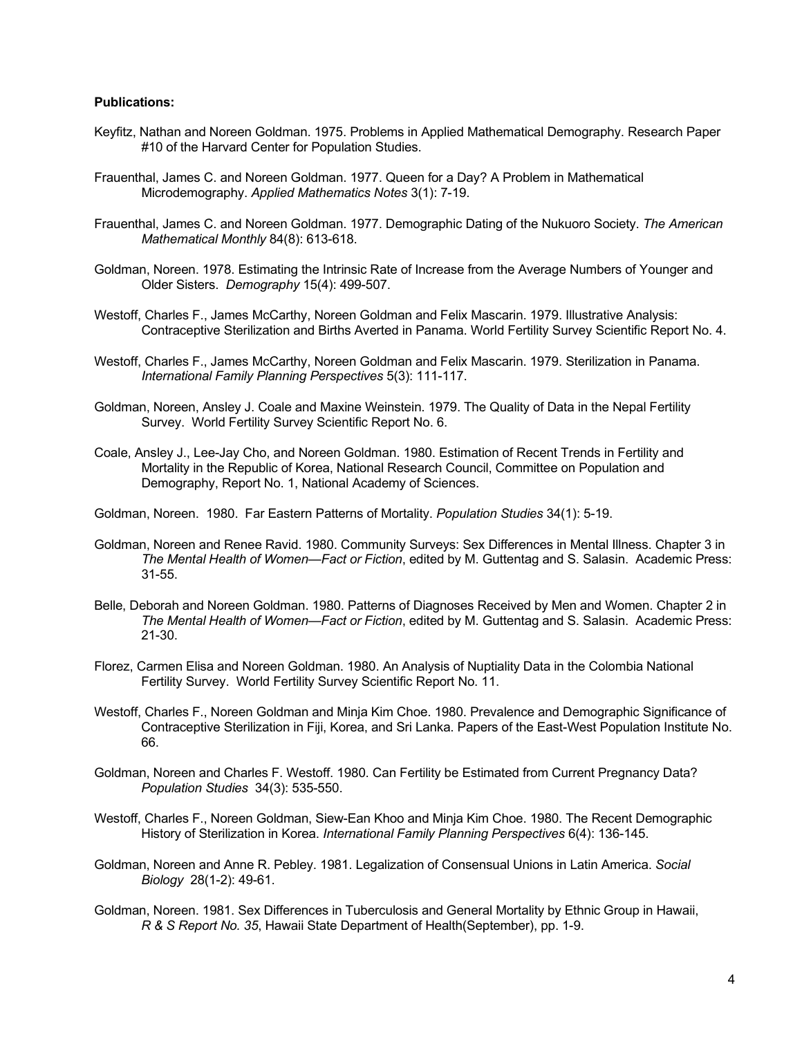## **Publications:**

- Keyfitz, Nathan and Noreen Goldman. 1975. Problems in Applied Mathematical Demography. Research Paper #10 of the Harvard Center for Population Studies.
- Frauenthal, James C. and Noreen Goldman. 1977. Queen for a Day? A Problem in Mathematical Microdemography. *Applied Mathematics Notes* 3(1): 7-19.
- Frauenthal, James C. and Noreen Goldman. 1977. Demographic Dating of the Nukuoro Society. *The American Mathematical Monthly* 84(8): 613-618.
- Goldman, Noreen. 1978. Estimating the Intrinsic Rate of Increase from the Average Numbers of Younger and Older Sisters. *Demography* 15(4): 499-507.
- Westoff, Charles F., James McCarthy, Noreen Goldman and Felix Mascarin. 1979. Illustrative Analysis: Contraceptive Sterilization and Births Averted in Panama. World Fertility Survey Scientific Report No. 4.
- Westoff, Charles F., James McCarthy, Noreen Goldman and Felix Mascarin. 1979. Sterilization in Panama. *International Family Planning Perspectives* 5(3): 111-117.
- Goldman, Noreen, Ansley J. Coale and Maxine Weinstein. 1979. The Quality of Data in the Nepal Fertility Survey. World Fertility Survey Scientific Report No. 6.
- Coale, Ansley J., Lee-Jay Cho, and Noreen Goldman. 1980. Estimation of Recent Trends in Fertility and Mortality in the Republic of Korea, National Research Council, Committee on Population and Demography, Report No. 1, National Academy of Sciences.
- Goldman, Noreen. 1980. Far Eastern Patterns of Mortality. *Population Studies* 34(1): 5-19.
- Goldman, Noreen and Renee Ravid. 1980. Community Surveys: Sex Differences in Mental Illness. Chapter 3 in *The Mental Health of Women—Fact or Fiction*, edited by M. Guttentag and S. Salasin. Academic Press: 31-55.
- Belle, Deborah and Noreen Goldman. 1980. Patterns of Diagnoses Received by Men and Women. Chapter 2 in *The Mental Health of Women—Fact or Fiction*, edited by M. Guttentag and S. Salasin. Academic Press: 21-30.
- Florez, Carmen Elisa and Noreen Goldman. 1980. An Analysis of Nuptiality Data in the Colombia National Fertility Survey. World Fertility Survey Scientific Report No. 11.
- Westoff, Charles F., Noreen Goldman and Minja Kim Choe. 1980. Prevalence and Demographic Significance of Contraceptive Sterilization in Fiji, Korea, and Sri Lanka. Papers of the East-West Population Institute No. 66.
- Goldman, Noreen and Charles F. Westoff. 1980. Can Fertility be Estimated from Current Pregnancy Data? *Population Studies* 34(3): 535-550.
- Westoff, Charles F., Noreen Goldman, Siew-Ean Khoo and Minja Kim Choe. 1980. The Recent Demographic History of Sterilization in Korea. *International Family Planning Perspectives* 6(4): 136-145.
- Goldman, Noreen and Anne R. Pebley. 1981. Legalization of Consensual Unions in Latin America. *Social Biology* 28(1-2): 49-61.
- Goldman, Noreen. 1981. Sex Differences in Tuberculosis and General Mortality by Ethnic Group in Hawaii, *R & S Report No. 35*, Hawaii State Department of Health(September), pp. 1-9.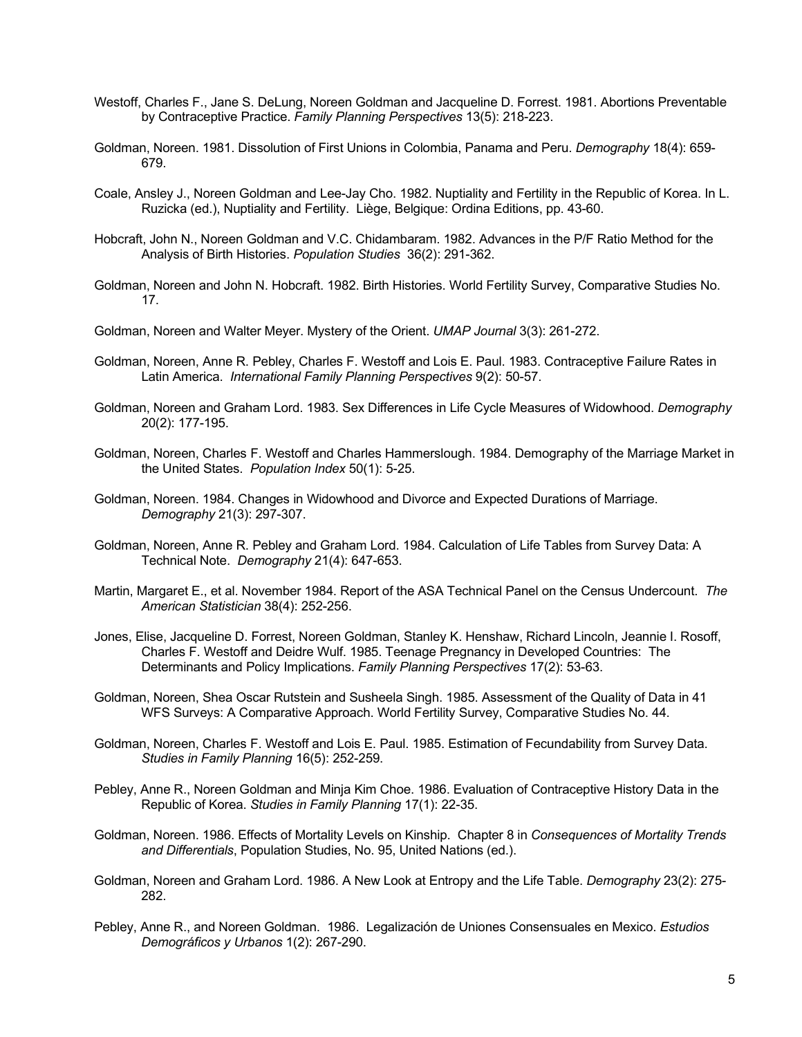- Westoff, Charles F., Jane S. DeLung, Noreen Goldman and Jacqueline D. Forrest. 1981. Abortions Preventable by Contraceptive Practice. *Family Planning Perspectives* 13(5): 218-223.
- Goldman, Noreen. 1981. Dissolution of First Unions in Colombia, Panama and Peru. *Demography* 18(4): 659- 679.
- Coale, Ansley J., Noreen Goldman and Lee-Jay Cho. 1982. Nuptiality and Fertility in the Republic of Korea. In L. Ruzicka (ed.), Nuptiality and Fertility. Liège, Belgique: Ordina Editions, pp. 43-60.
- Hobcraft, John N., Noreen Goldman and V.C. Chidambaram. 1982. Advances in the P/F Ratio Method for the Analysis of Birth Histories. *Population Studies* 36(2): 291-362.
- Goldman, Noreen and John N. Hobcraft. 1982. Birth Histories. World Fertility Survey, Comparative Studies No. 17.
- Goldman, Noreen and Walter Meyer. Mystery of the Orient. *UMAP Journal* 3(3): 261-272.
- Goldman, Noreen, Anne R. Pebley, Charles F. Westoff and Lois E. Paul. 1983. Contraceptive Failure Rates in Latin America. *International Family Planning Perspectives* 9(2): 50-57.
- Goldman, Noreen and Graham Lord. 1983. Sex Differences in Life Cycle Measures of Widowhood. *Demography* 20(2): 177-195.
- Goldman, Noreen, Charles F. Westoff and Charles Hammerslough. 1984. Demography of the Marriage Market in the United States. *Population Index* 50(1): 5-25.
- Goldman, Noreen. 1984. Changes in Widowhood and Divorce and Expected Durations of Marriage. *Demography* 21(3): 297-307.
- Goldman, Noreen, Anne R. Pebley and Graham Lord. 1984. Calculation of Life Tables from Survey Data: A Technical Note. *Demography* 21(4): 647-653.
- Martin, Margaret E., et al. November 1984. Report of the ASA Technical Panel on the Census Undercount. *The American Statistician* 38(4): 252-256.
- Jones, Elise, Jacqueline D. Forrest, Noreen Goldman, Stanley K. Henshaw, Richard Lincoln, Jeannie I. Rosoff, Charles F. Westoff and Deidre Wulf. 1985. Teenage Pregnancy in Developed Countries: The Determinants and Policy Implications. *Family Planning Perspectives* 17(2): 53-63.
- Goldman, Noreen, Shea Oscar Rutstein and Susheela Singh. 1985. Assessment of the Quality of Data in 41 WFS Surveys: A Comparative Approach. World Fertility Survey, Comparative Studies No. 44.
- Goldman, Noreen, Charles F. Westoff and Lois E. Paul. 1985. Estimation of Fecundability from Survey Data. *Studies in Family Planning* 16(5): 252-259.
- Pebley, Anne R., Noreen Goldman and Minja Kim Choe. 1986. Evaluation of Contraceptive History Data in the Republic of Korea. *Studies in Family Planning* 17(1): 22-35.
- Goldman, Noreen. 1986. Effects of Mortality Levels on Kinship. Chapter 8 in *Consequences of Mortality Trends and Differentials*, Population Studies, No. 95, United Nations (ed.).
- Goldman, Noreen and Graham Lord. 1986. A New Look at Entropy and the Life Table. *Demography* 23(2): 275- 282.
- Pebley, Anne R., and Noreen Goldman. 1986. Legalización de Uniones Consensuales en Mexico. *Estudios Demográficos y Urbanos* 1(2): 267-290.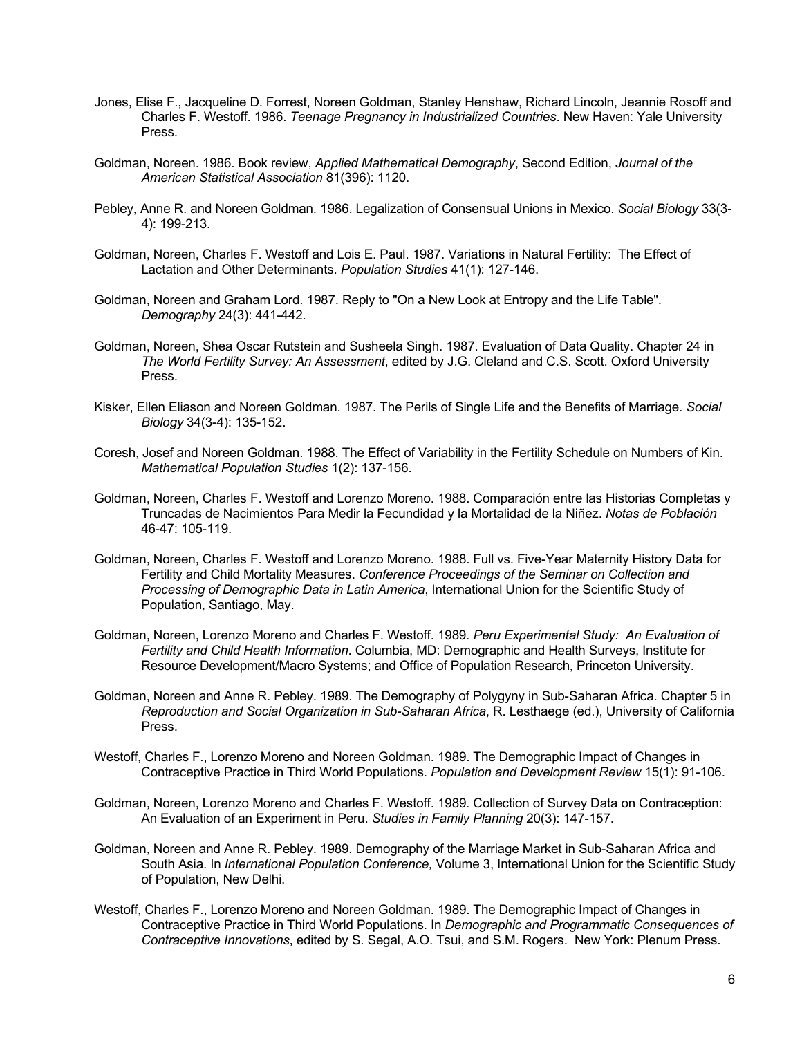- Jones, Elise F., Jacqueline D. Forrest, Noreen Goldman, Stanley Henshaw, Richard Lincoln, Jeannie Rosoff and Charles F. Westoff. 1986. *Teenage Pregnancy in Industrialized Countries*. New Haven: Yale University Press.
- Goldman, Noreen. 1986. Book review, *Applied Mathematical Demography*, Second Edition, *Journal of the American Statistical Association* 81(396): 1120.
- Pebley, Anne R. and Noreen Goldman. 1986. Legalization of Consensual Unions in Mexico. *Social Biology* 33(3- 4): 199-213.
- Goldman, Noreen, Charles F. Westoff and Lois E. Paul. 1987. Variations in Natural Fertility: The Effect of Lactation and Other Determinants. *Population Studies* 41(1): 127-146.
- Goldman, Noreen and Graham Lord. 1987. Reply to "On a New Look at Entropy and the Life Table". *Demography* 24(3): 441-442.
- Goldman, Noreen, Shea Oscar Rutstein and Susheela Singh. 1987. Evaluation of Data Quality. Chapter 24 in *The World Fertility Survey: An Assessment*, edited by J.G. Cleland and C.S. Scott. Oxford University Press.
- Kisker, Ellen Eliason and Noreen Goldman. 1987. The Perils of Single Life and the Benefits of Marriage. *Social Biology* 34(3-4): 135-152.
- Coresh, Josef and Noreen Goldman. 1988. The Effect of Variability in the Fertility Schedule on Numbers of Kin. *Mathematical Population Studies* 1(2): 137-156.
- Goldman, Noreen, Charles F. Westoff and Lorenzo Moreno. 1988. Comparación entre las Historias Completas y Truncadas de Nacimientos Para Medir la Fecundidad y la Mortalidad de la Niñez. *Notas de Población*  46-47: 105-119.
- Goldman, Noreen, Charles F. Westoff and Lorenzo Moreno. 1988. Full vs. Five-Year Maternity History Data for Fertility and Child Mortality Measures. *Conference Proceedings of the Seminar on Collection and Processing of Demographic Data in Latin America*, International Union for the Scientific Study of Population, Santiago, May.
- Goldman, Noreen, Lorenzo Moreno and Charles F. Westoff. 1989. *Peru Experimental Study: An Evaluation of Fertility and Child Health Information*. Columbia, MD: Demographic and Health Surveys, Institute for Resource Development/Macro Systems; and Office of Population Research, Princeton University.
- Goldman, Noreen and Anne R. Pebley. 1989. The Demography of Polygyny in Sub-Saharan Africa. Chapter 5 in *Reproduction and Social Organization in Sub-Saharan Africa*, R. Lesthaege (ed.), University of California Press.
- Westoff, Charles F., Lorenzo Moreno and Noreen Goldman. 1989. The Demographic Impact of Changes in Contraceptive Practice in Third World Populations. *Population and Development Review* 15(1): 91-106.
- Goldman, Noreen, Lorenzo Moreno and Charles F. Westoff. 1989. Collection of Survey Data on Contraception: An Evaluation of an Experiment in Peru. *Studies in Family Planning* 20(3): 147-157.
- Goldman, Noreen and Anne R. Pebley. 1989. Demography of the Marriage Market in Sub-Saharan Africa and South Asia. In *International Population Conference,* Volume 3, International Union for the Scientific Study of Population, New Delhi.
- Westoff, Charles F., Lorenzo Moreno and Noreen Goldman. 1989. The Demographic Impact of Changes in Contraceptive Practice in Third World Populations. In *Demographic and Programmatic Consequences of Contraceptive Innovations*, edited by S. Segal, A.O. Tsui, and S.M. Rogers. New York: Plenum Press.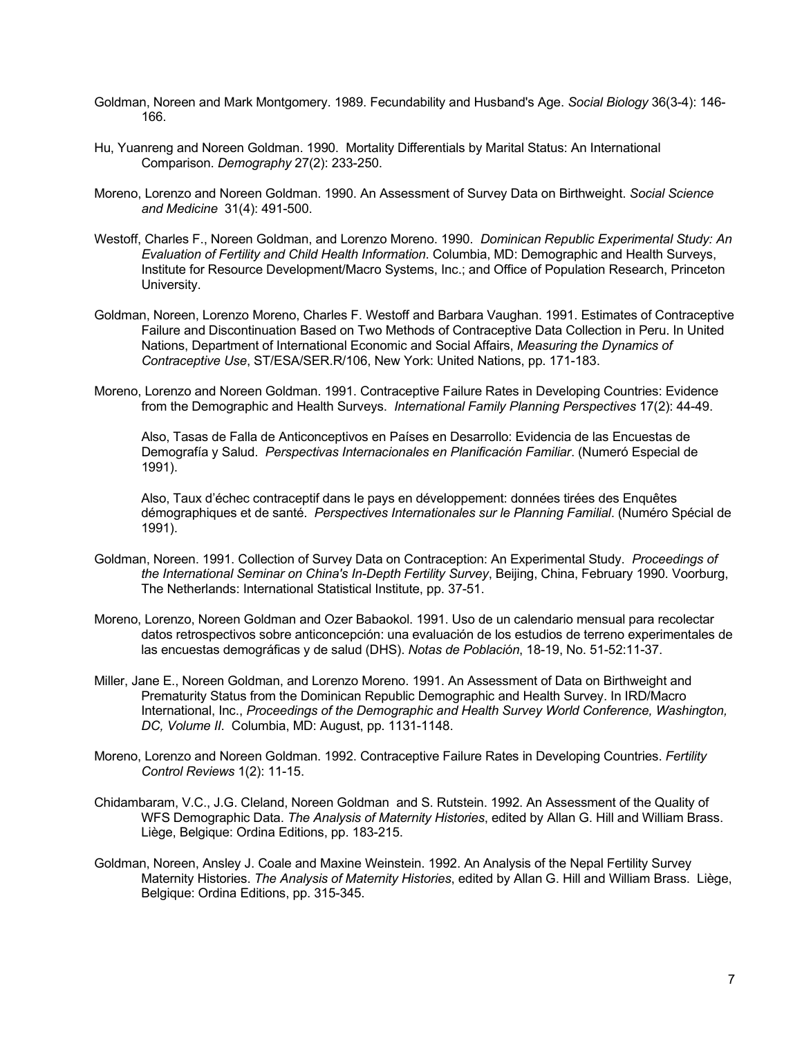- Goldman, Noreen and Mark Montgomery. 1989. Fecundability and Husband's Age. *Social Biology* 36(3-4): 146- 166.
- Hu, Yuanreng and Noreen Goldman. 1990. Mortality Differentials by Marital Status: An International Comparison. *Demography* 27(2): 233-250.
- Moreno, Lorenzo and Noreen Goldman. 1990. An Assessment of Survey Data on Birthweight. *Social Science and Medicine* 31(4): 491-500.
- Westoff, Charles F., Noreen Goldman, and Lorenzo Moreno. 1990. *Dominican Republic Experimental Study: An Evaluation of Fertility and Child Health Information*. Columbia, MD: Demographic and Health Surveys, Institute for Resource Development/Macro Systems, Inc.; and Office of Population Research, Princeton University.
- Goldman, Noreen, Lorenzo Moreno, Charles F. Westoff and Barbara Vaughan. 1991. Estimates of Contraceptive Failure and Discontinuation Based on Two Methods of Contraceptive Data Collection in Peru. In United Nations, Department of International Economic and Social Affairs, *Measuring the Dynamics of Contraceptive Use*, ST/ESA/SER.R/106, New York: United Nations, pp. 171-183.
- Moreno, Lorenzo and Noreen Goldman. 1991. Contraceptive Failure Rates in Developing Countries: Evidence from the Demographic and Health Surveys. *International Family Planning Perspectives* 17(2): 44-49.

Also, Tasas de Falla de Anticonceptivos en Países en Desarrollo: Evidencia de las Encuestas de Demografía y Salud. *Perspectivas Internacionales en Planificación Familiar*. (Numeró Especial de 1991).

Also, Taux d'échec contraceptif dans le pays en développement: données tirées des Enquêtes démographiques et de santé. *Perspectives Internationales sur le Planning Familial*. (Numéro Spécial de 1991).

- Goldman, Noreen. 1991. Collection of Survey Data on Contraception: An Experimental Study. *Proceedings of the International Seminar on China's In-Depth Fertility Survey*, Beijing, China, February 1990. Voorburg, The Netherlands: International Statistical Institute, pp. 37-51.
- Moreno, Lorenzo, Noreen Goldman and Ozer Babaokol. 1991. Uso de un calendario mensual para recolectar datos retrospectivos sobre anticoncepción: una evaluación de los estudios de terreno experimentales de las encuestas demográficas y de salud (DHS). *Notas de Población*, 18-19, No. 51-52:11-37.
- Miller, Jane E., Noreen Goldman, and Lorenzo Moreno. 1991. An Assessment of Data on Birthweight and Prematurity Status from the Dominican Republic Demographic and Health Survey. In IRD/Macro International, Inc., *Proceedings of the Demographic and Health Survey World Conference, Washington, DC, Volume II*. Columbia, MD: August, pp. 1131-1148.
- Moreno, Lorenzo and Noreen Goldman. 1992. Contraceptive Failure Rates in Developing Countries. *Fertility Control Reviews* 1(2): 11-15.
- Chidambaram, V.C., J.G. Cleland, Noreen Goldman and S. Rutstein. 1992. An Assessment of the Quality of WFS Demographic Data. *The Analysis of Maternity Histories*, edited by Allan G. Hill and William Brass. Liège, Belgique: Ordina Editions, pp. 183-215.
- Goldman, Noreen, Ansley J. Coale and Maxine Weinstein. 1992. An Analysis of the Nepal Fertility Survey Maternity Histories. *The Analysis of Maternity Histories*, edited by Allan G. Hill and William Brass. Liège, Belgique: Ordina Editions, pp. 315-345.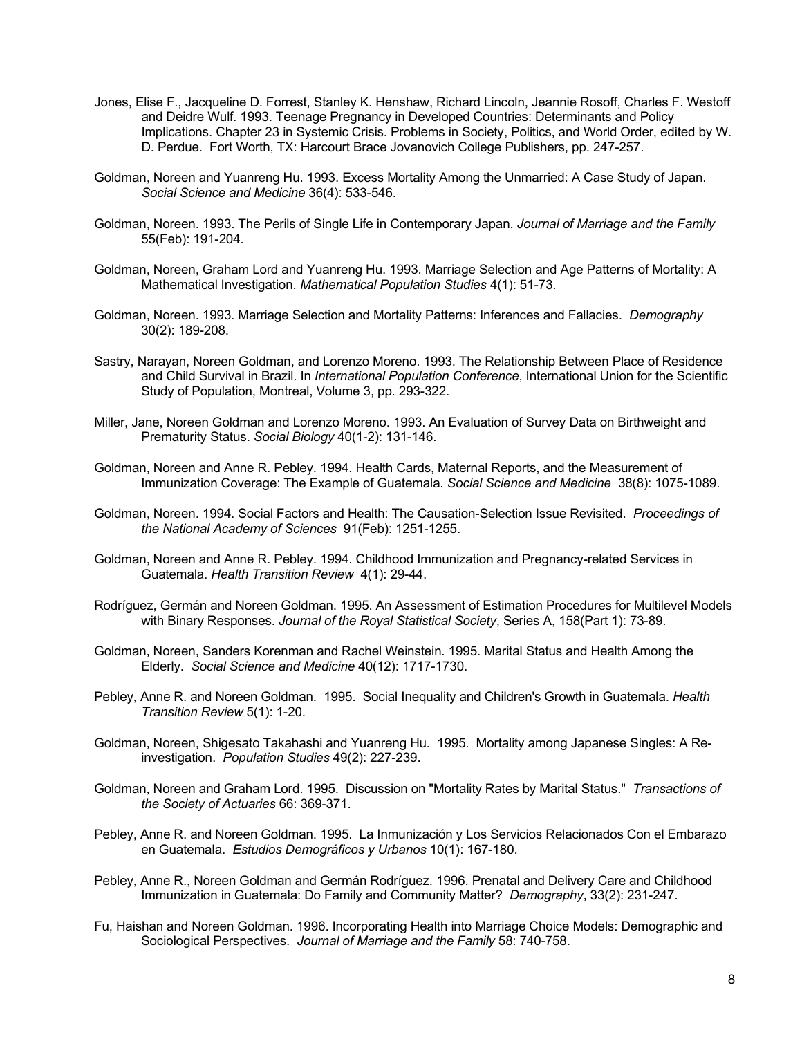- Jones, Elise F., Jacqueline D. Forrest, Stanley K. Henshaw, Richard Lincoln, Jeannie Rosoff, Charles F. Westoff and Deidre Wulf. 1993. Teenage Pregnancy in Developed Countries: Determinants and Policy Implications. Chapter 23 in Systemic Crisis. Problems in Society, Politics, and World Order, edited by W. D. Perdue. Fort Worth, TX: Harcourt Brace Jovanovich College Publishers, pp. 247-257.
- Goldman, Noreen and Yuanreng Hu. 1993. Excess Mortality Among the Unmarried: A Case Study of Japan. *Social Science and Medicine* 36(4): 533-546.
- Goldman, Noreen. 1993. The Perils of Single Life in Contemporary Japan. *Journal of Marriage and the Family* 55(Feb): 191-204.
- Goldman, Noreen, Graham Lord and Yuanreng Hu. 1993. Marriage Selection and Age Patterns of Mortality: A Mathematical Investigation. *Mathematical Population Studies* 4(1): 51-73.
- Goldman, Noreen. 1993. Marriage Selection and Mortality Patterns: Inferences and Fallacies. *Demography* 30(2): 189-208.
- Sastry, Narayan, Noreen Goldman, and Lorenzo Moreno. 1993. The Relationship Between Place of Residence and Child Survival in Brazil. In *International Population Conference*, International Union for the Scientific Study of Population, Montreal, Volume 3, pp. 293-322.
- Miller, Jane, Noreen Goldman and Lorenzo Moreno. 1993. An Evaluation of Survey Data on Birthweight and Prematurity Status. *Social Biology* 40(1-2): 131-146.
- Goldman, Noreen and Anne R. Pebley. 1994. Health Cards, Maternal Reports, and the Measurement of Immunization Coverage: The Example of Guatemala. *Social Science and Medicine* 38(8): 1075-1089.
- Goldman, Noreen. 1994. Social Factors and Health: The Causation-Selection Issue Revisited. *Proceedings of the National Academy of Sciences* 91(Feb): 1251-1255.
- Goldman, Noreen and Anne R. Pebley. 1994. Childhood Immunization and Pregnancy-related Services in Guatemala. *Health Transition Review* 4(1): 29-44.
- Rodríguez, Germán and Noreen Goldman. 1995. An Assessment of Estimation Procedures for Multilevel Models with Binary Responses. *Journal of the Royal Statistical Society*, Series A, 158(Part 1): 73-89.
- Goldman, Noreen, Sanders Korenman and Rachel Weinstein. 1995. Marital Status and Health Among the Elderly. *Social Science and Medicine* 40(12): 1717-1730.
- Pebley, Anne R. and Noreen Goldman. 1995. Social Inequality and Children's Growth in Guatemala. *Health Transition Review* 5(1): 1-20.
- Goldman, Noreen, Shigesato Takahashi and Yuanreng Hu. 1995. Mortality among Japanese Singles: A Reinvestigation. *Population Studies* 49(2): 227-239.
- Goldman, Noreen and Graham Lord. 1995. Discussion on "Mortality Rates by Marital Status." *Transactions of the Society of Actuaries* 66: 369-371.
- Pebley, Anne R. and Noreen Goldman. 1995. La Inmunización y Los Servicios Relacionados Con el Embarazo en Guatemala. *Estudios Demográficos y Urbanos* 10(1): 167-180.
- Pebley, Anne R., Noreen Goldman and Germán Rodríguez. 1996. Prenatal and Delivery Care and Childhood Immunization in Guatemala: Do Family and Community Matter? *Demography*, 33(2): 231-247.
- Fu, Haishan and Noreen Goldman. 1996. Incorporating Health into Marriage Choice Models: Demographic and Sociological Perspectives. *Journal of Marriage and the Family* 58: 740-758.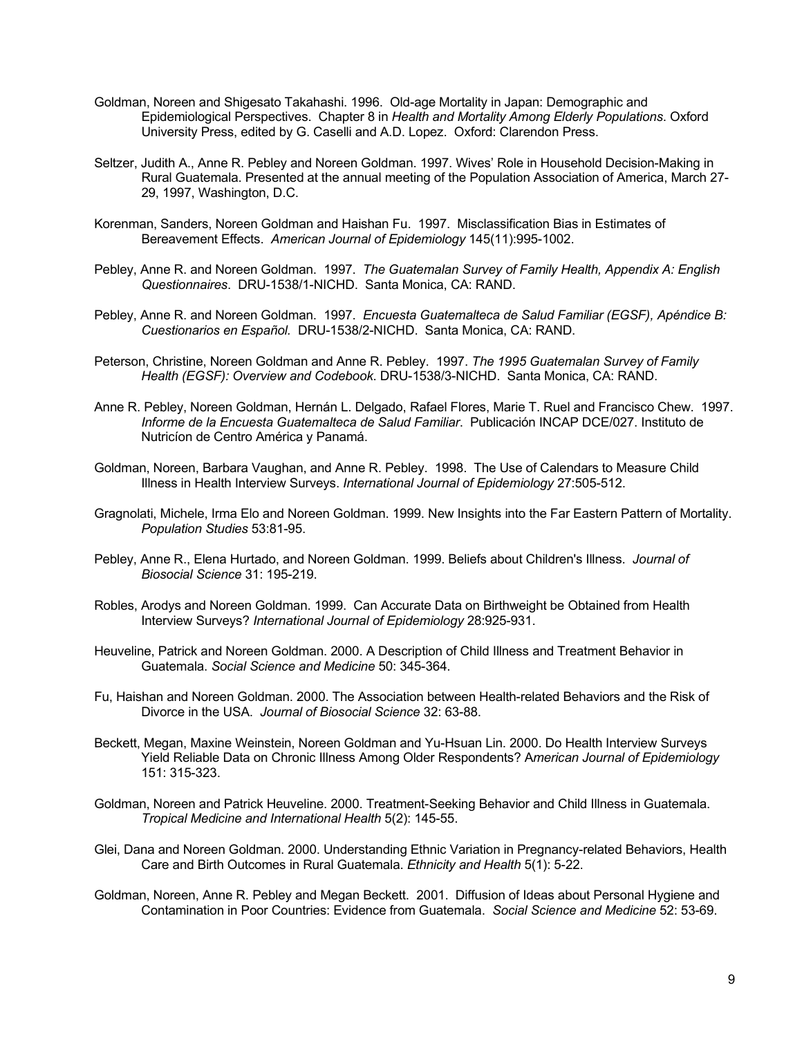- Goldman, Noreen and Shigesato Takahashi. 1996. Old-age Mortality in Japan: Demographic and Epidemiological Perspectives. Chapter 8 in *Health and Mortality Among Elderly Populations*. Oxford University Press, edited by G. Caselli and A.D. Lopez. Oxford: Clarendon Press.
- Seltzer, Judith A., Anne R. Pebley and Noreen Goldman. 1997. Wives' Role in Household Decision-Making in Rural Guatemala. Presented at the annual meeting of the Population Association of America, March 27- 29, 1997, Washington, D.C.
- Korenman, Sanders, Noreen Goldman and Haishan Fu. 1997. Misclassification Bias in Estimates of Bereavement Effects. *American Journal of Epidemiology* 145(11):995-1002.
- Pebley, Anne R. and Noreen Goldman. 1997. *The Guatemalan Survey of Family Health, Appendix A: English Questionnaires*. DRU-1538/1-NICHD. Santa Monica, CA: RAND.
- Pebley, Anne R. and Noreen Goldman. 1997. *Encuesta Guatemalteca de Salud Familiar (EGSF), Apéndice B: Cuestionarios en Español.* DRU-1538/2-NICHD. Santa Monica, CA: RAND.
- Peterson, Christine, Noreen Goldman and Anne R. Pebley. 1997. *The 1995 Guatemalan Survey of Family Health (EGSF): Overview and Codebook*. DRU-1538/3-NICHD. Santa Monica, CA: RAND.
- Anne R. Pebley, Noreen Goldman, Hernán L. Delgado, Rafael Flores, Marie T. Ruel and Francisco Chew. 1997. *Informe de la Encuesta Guatemalteca de Salud Familiar*. Publicación INCAP DCE/027. Instituto de Nutricíon de Centro América y Panamá.
- Goldman, Noreen, Barbara Vaughan, and Anne R. Pebley. 1998. The Use of Calendars to Measure Child Illness in Health Interview Surveys. *International Journal of Epidemiology* 27:505-512.
- Gragnolati, Michele, Irma Elo and Noreen Goldman. 1999. New Insights into the Far Eastern Pattern of Mortality. *Population Studies* 53:81-95.
- Pebley, Anne R., Elena Hurtado, and Noreen Goldman. 1999. Beliefs about Children's Illness. *Journal of Biosocial Science* 31: 195-219.
- Robles, Arodys and Noreen Goldman. 1999. Can Accurate Data on Birthweight be Obtained from Health Interview Surveys? *International Journal of Epidemiology* 28:925-931.
- Heuveline, Patrick and Noreen Goldman. 2000. A Description of Child Illness and Treatment Behavior in Guatemala. *Social Science and Medicine* 50: 345-364.
- Fu, Haishan and Noreen Goldman. 2000. The Association between Health-related Behaviors and the Risk of Divorce in the USA. *Journal of Biosocial Science* 32: 63-88.
- Beckett, Megan, Maxine Weinstein, Noreen Goldman and Yu-Hsuan Lin. 2000. Do Health Interview Surveys Yield Reliable Data on Chronic Illness Among Older Respondents? A*merican Journal of Epidemiology* 151: 315-323.
- Goldman, Noreen and Patrick Heuveline. 2000. Treatment-Seeking Behavior and Child Illness in Guatemala. *Tropical Medicine and International Health* 5(2): 145-55.
- Glei, Dana and Noreen Goldman. 2000. Understanding Ethnic Variation in Pregnancy-related Behaviors, Health Care and Birth Outcomes in Rural Guatemala. *Ethnicity and Health* 5(1): 5-22.
- Goldman, Noreen, Anne R. Pebley and Megan Beckett. 2001. Diffusion of Ideas about Personal Hygiene and Contamination in Poor Countries: Evidence from Guatemala. *Social Science and Medicine* 52: 53-69.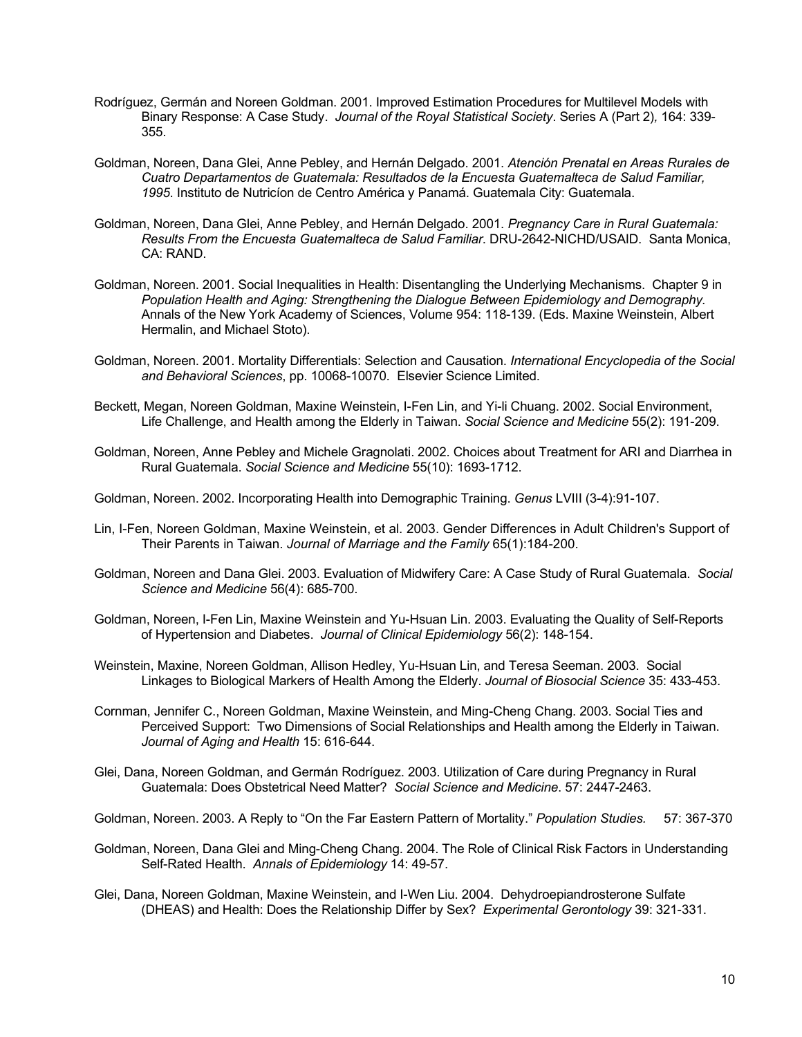- Rodríguez, Germán and Noreen Goldman. 2001. Improved Estimation Procedures for Multilevel Models with Binary Response: A Case Study. *Journal of the Royal Statistical Society*. Series A (Part 2)*,* 164: 339- 355.
- Goldman, Noreen, Dana Glei, Anne Pebley, and Hernán Delgado. 2001. *Atención Prenatal en Areas Rurales de Cuatro Departamentos de Guatemala: Resultados de la Encuesta Guatemalteca de Salud Familiar, 1995*. Instituto de Nutricíon de Centro América y Panamá. Guatemala City: Guatemala.
- Goldman, Noreen, Dana Glei, Anne Pebley, and Hernán Delgado. 2001. *Pregnancy Care in Rural Guatemala: Results From the Encuesta Guatemalteca de Salud Familiar*. DRU-2642-NICHD/USAID. Santa Monica, CA: RAND.
- Goldman, Noreen. 2001. Social Inequalities in Health: Disentangling the Underlying Mechanisms. Chapter 9 in *Population Health and Aging: Strengthening the Dialogue Between Epidemiology and Demography.* Annals of the New York Academy of Sciences, Volume 954: 118-139. (Eds. Maxine Weinstein, Albert Hermalin, and Michael Stoto).
- Goldman, Noreen. 2001. Mortality Differentials: Selection and Causation. *International Encyclopedia of the Social and Behavioral Sciences*, pp. 10068-10070*.* Elsevier Science Limited.
- Beckett, Megan, Noreen Goldman, Maxine Weinstein, I-Fen Lin, and Yi-li Chuang. 2002. Social Environment, Life Challenge, and Health among the Elderly in Taiwan. *Social Science and Medicine* 55(2): 191-209.
- Goldman, Noreen, Anne Pebley and Michele Gragnolati. 2002. Choices about Treatment for ARI and Diarrhea in Rural Guatemala. *Social Science and Medicine* 55(10): 1693-1712.
- Goldman, Noreen. 2002. Incorporating Health into Demographic Training. *Genus* LVIII (3-4):91-107.
- Lin, I-Fen, Noreen Goldman, Maxine Weinstein, et al. 2003. Gender Differences in Adult Children's Support of Their Parents in Taiwan. *Journal of Marriage and the Family* 65(1):184-200.
- Goldman, Noreen and Dana Glei. 2003. Evaluation of Midwifery Care: A Case Study of Rural Guatemala. *Social Science and Medicine* 56(4): 685-700.
- Goldman, Noreen, I-Fen Lin, Maxine Weinstein and Yu-Hsuan Lin. 2003. Evaluating the Quality of Self-Reports of Hypertension and Diabetes. *Journal of Clinical Epidemiology* 56(2): 148-154.
- Weinstein, Maxine, Noreen Goldman, Allison Hedley, Yu-Hsuan Lin, and Teresa Seeman. 2003. Social Linkages to Biological Markers of Health Among the Elderly. *Journal of Biosocial Science* 35: 433-453.
- Cornman, Jennifer C., Noreen Goldman, Maxine Weinstein, and Ming-Cheng Chang. 2003. Social Ties and Perceived Support: Two Dimensions of Social Relationships and Health among the Elderly in Taiwan. *Journal of Aging and Health* 15: 616-644.
- Glei, Dana, Noreen Goldman, and Germán Rodríguez. 2003. Utilization of Care during Pregnancy in Rural Guatemala: Does Obstetrical Need Matter? *Social Science and Medicine*. 57: 2447-2463.

Goldman, Noreen. 2003. A Reply to "On the Far Eastern Pattern of Mortality." *Population Studies.* 57: 367-370

- Goldman, Noreen, Dana Glei and Ming-Cheng Chang. 2004. The Role of Clinical Risk Factors in Understanding Self-Rated Health. *Annals of Epidemiology* 14: 49-57.
- Glei, Dana, Noreen Goldman, Maxine Weinstein, and I-Wen Liu. 2004. Dehydroepiandrosterone Sulfate (DHEAS) and Health: Does the Relationship Differ by Sex? *Experimental Gerontology* 39: 321-331.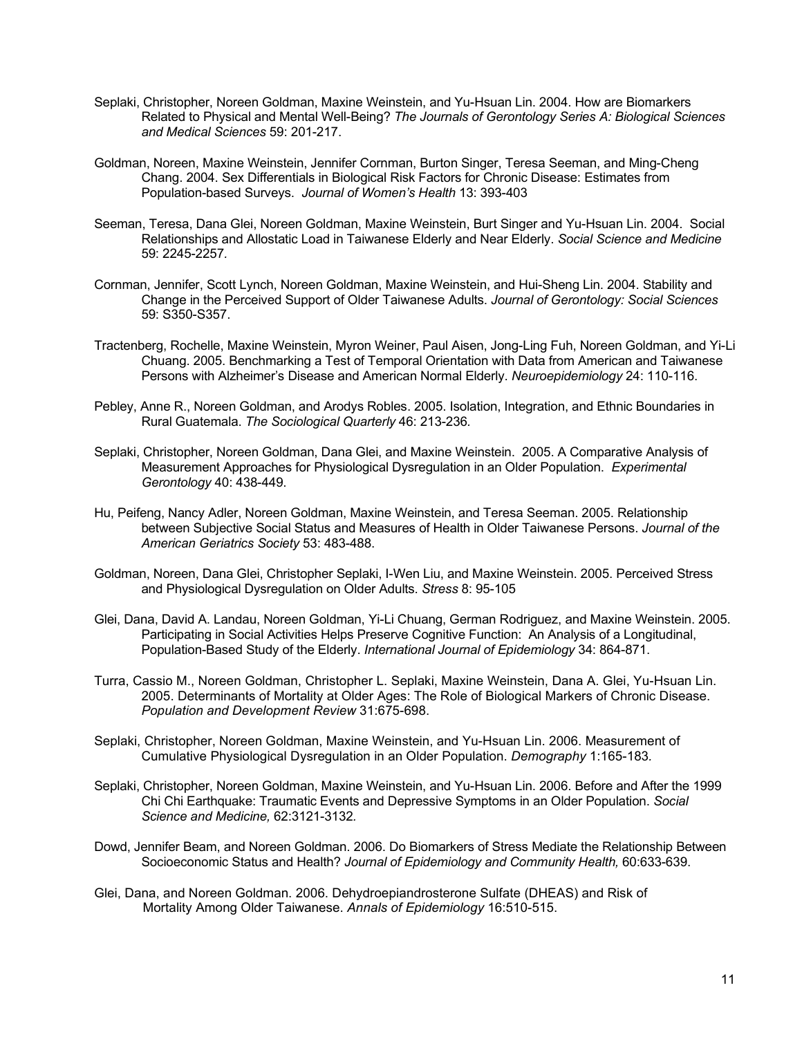- Seplaki, Christopher, Noreen Goldman, Maxine Weinstein, and Yu-Hsuan Lin. 2004. How are Biomarkers Related to Physical and Mental Well-Being? *The Journals of Gerontology Series A: Biological Sciences and Medical Sciences* 59: 201-217.
- Goldman, Noreen, Maxine Weinstein, Jennifer Cornman, Burton Singer, Teresa Seeman, and Ming-Cheng Chang. 2004. Sex Differentials in Biological Risk Factors for Chronic Disease: Estimates from Population-based Surveys. *Journal of Women's Health* 13: 393-403
- Seeman, Teresa, Dana Glei, Noreen Goldman, Maxine Weinstein, Burt Singer and Yu-Hsuan Lin. 2004. Social Relationships and Allostatic Load in Taiwanese Elderly and Near Elderly. *Social Science and Medicine*  59: 2245-2257*.*
- Cornman, Jennifer, Scott Lynch, Noreen Goldman, Maxine Weinstein, and Hui-Sheng Lin. 2004. Stability and Change in the Perceived Support of Older Taiwanese Adults. *Journal of Gerontology: Social Sciences*  59: S350-S357.
- Tractenberg, Rochelle, Maxine Weinstein, Myron Weiner, Paul Aisen, Jong-Ling Fuh, Noreen Goldman, and Yi-Li Chuang. 2005. Benchmarking a Test of Temporal Orientation with Data from American and Taiwanese Persons with Alzheimer's Disease and American Normal Elderly. *Neuroepidemiology* 24: 110-116.
- Pebley, Anne R., Noreen Goldman, and Arodys Robles. 2005. Isolation, Integration, and Ethnic Boundaries in Rural Guatemala. *The Sociological Quarterly* 46: 213-236*.*
- Seplaki, Christopher, Noreen Goldman, Dana Glei, and Maxine Weinstein. 2005. A Comparative Analysis of Measurement Approaches for Physiological Dysregulation in an Older Population. *Experimental Gerontology* 40: 438-449.
- Hu, Peifeng, Nancy Adler, Noreen Goldman, Maxine Weinstein, and Teresa Seeman. 2005. Relationship between Subjective Social Status and Measures of Health in Older Taiwanese Persons. *Journal of the American Geriatrics Society* 53: 483-488.
- Goldman, Noreen, Dana Glei, Christopher Seplaki, I-Wen Liu, and Maxine Weinstein. 2005. Perceived Stress and Physiological Dysregulation on Older Adults. *Stress* 8: 95-105
- Glei, Dana, David A. Landau, Noreen Goldman, Yi-Li Chuang, German Rodriguez, and Maxine Weinstein. 2005. Participating in Social Activities Helps Preserve Cognitive Function: An Analysis of a Longitudinal, Population-Based Study of the Elderly. *International Journal of Epidemiology* 34: 864-871.
- Turra, Cassio M., Noreen Goldman, Christopher L. Seplaki, Maxine Weinstein, Dana A. Glei, Yu-Hsuan Lin. 2005. Determinants of Mortality at Older Ages: The Role of Biological Markers of Chronic Disease. *Population and Development Review* 31:675-698.
- Seplaki, Christopher, Noreen Goldman, Maxine Weinstein, and Yu-Hsuan Lin. 2006. Measurement of Cumulative Physiological Dysregulation in an Older Population. *Demography* 1:165-183*.*
- Seplaki, Christopher, Noreen Goldman, Maxine Weinstein, and Yu-Hsuan Lin. 2006. Before and After the 1999 Chi Chi Earthquake: Traumatic Events and Depressive Symptoms in an Older Population. *Social Science and Medicine,* 62:3121-3132*.*
- Dowd, Jennifer Beam, and Noreen Goldman. 2006. Do Biomarkers of Stress Mediate the Relationship Between Socioeconomic Status and Health? *Journal of Epidemiology and Community Health,* 60:633-639.
- Glei, Dana, and Noreen Goldman. 2006. Dehydroepiandrosterone Sulfate (DHEAS) and Risk of Mortality Among Older Taiwanese. *Annals of Epidemiology* 16:510-515.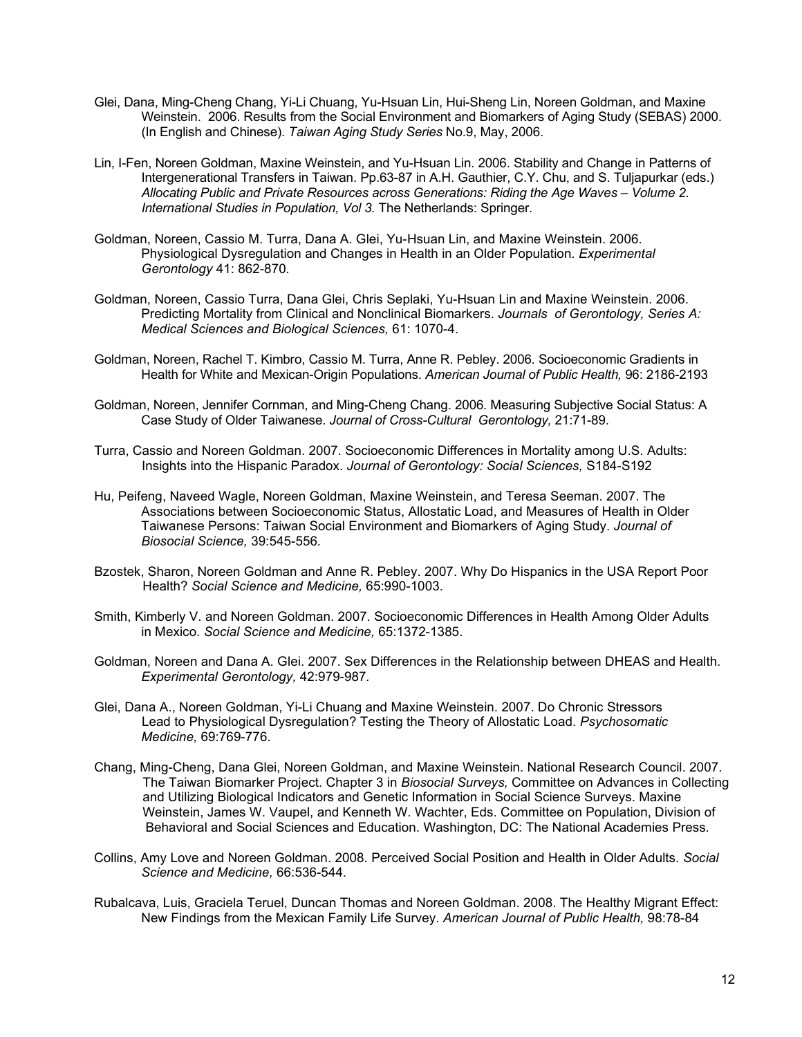- Glei, Dana, Ming-Cheng Chang, Yi-Li Chuang, Yu-Hsuan Lin, Hui-Sheng Lin, Noreen Goldman, and Maxine Weinstein. 2006. Results from the Social Environment and Biomarkers of Aging Study (SEBAS) 2000. (In English and Chinese). *Taiwan Aging Study Series* No.9, May, 2006.
- Lin, I-Fen, Noreen Goldman, Maxine Weinstein, and Yu-Hsuan Lin. 2006. Stability and Change in Patterns of Intergenerational Transfers in Taiwan. Pp.63-87 in A.H. Gauthier, C.Y. Chu, and S. Tuljapurkar (eds.) *Allocating Public and Private Resources across Generations: Riding the Age Waves – Volume 2. International Studies in Population, Vol 3.* The Netherlands: Springer.
- Goldman, Noreen, Cassio M. Turra, Dana A. Glei, Yu-Hsuan Lin, and Maxine Weinstein. 2006. Physiological Dysregulation and Changes in Health in an Older Population. *Experimental Gerontology* 41: 862-870*.*
- Goldman, Noreen, Cassio Turra, Dana Glei, Chris Seplaki, Yu-Hsuan Lin and Maxine Weinstein. 2006. Predicting Mortality from Clinical and Nonclinical Biomarkers. *Journals of Gerontology, Series A: Medical Sciences and Biological Sciences,* 61: 1070-4.
- Goldman, Noreen, Rachel T. Kimbro, Cassio M. Turra, Anne R. Pebley. 2006. Socioeconomic Gradients in Health for White and Mexican-Origin Populations. *American Journal of Public Health,* 96: 2186-2193
- Goldman, Noreen, Jennifer Cornman, and Ming-Cheng Chang. 2006. Measuring Subjective Social Status: A Case Study of Older Taiwanese. *Journal of Cross-Cultural Gerontology,* 21:71-89.
- Turra, Cassio and Noreen Goldman. 2007. Socioeconomic Differences in Mortality among U.S. Adults: Insights into the Hispanic Paradox. *Journal of Gerontology: Social Sciences,* S184-S192
- Hu, Peifeng, Naveed Wagle, Noreen Goldman, Maxine Weinstein, and Teresa Seeman. 2007. The Associations between Socioeconomic Status, Allostatic Load, and Measures of Health in Older Taiwanese Persons: Taiwan Social Environment and Biomarkers of Aging Study. *Journal of Biosocial Science,* 39:545-556*.*
- Bzostek, Sharon, Noreen Goldman and Anne R. Pebley. 2007. Why Do Hispanics in the USA Report Poor Health? *Social Science and Medicine,* 65:990-1003.
- Smith, Kimberly V. and Noreen Goldman. 2007. Socioeconomic Differences in Health Among Older Adults in Mexico. *Social Science and Medicine,* 65:1372-1385.
- Goldman, Noreen and Dana A. Glei. 2007. Sex Differences in the Relationship between DHEAS and Health. *Experimental Gerontology,* 42:979-987*.*
- Glei, Dana A., Noreen Goldman, Yi-Li Chuang and Maxine Weinstein. 2007. Do Chronic Stressors Lead to Physiological Dysregulation? Testing the Theory of Allostatic Load. *Psychosomatic Medicine,* 69:769-776.
- Chang, Ming-Cheng, Dana Glei, Noreen Goldman, and Maxine Weinstein. National Research Council. 2007. The Taiwan Biomarker Project. Chapter 3 in *Biosocial Surveys,* Committee on Advances in Collecting and Utilizing Biological Indicators and Genetic Information in Social Science Surveys. Maxine Weinstein, James W. Vaupel, and Kenneth W. Wachter, Eds. Committee on Population, Division of Behavioral and Social Sciences and Education. Washington, DC: The National Academies Press*.*
- Collins, Amy Love and Noreen Goldman. 2008. Perceived Social Position and Health in Older Adults. *Social Science and Medicine,* 66:536-544.
- Rubalcava, Luis, Graciela Teruel, Duncan Thomas and Noreen Goldman. 2008. The Healthy Migrant Effect: New Findings from the Mexican Family Life Survey. *American Journal of Public Health,* 98:78-84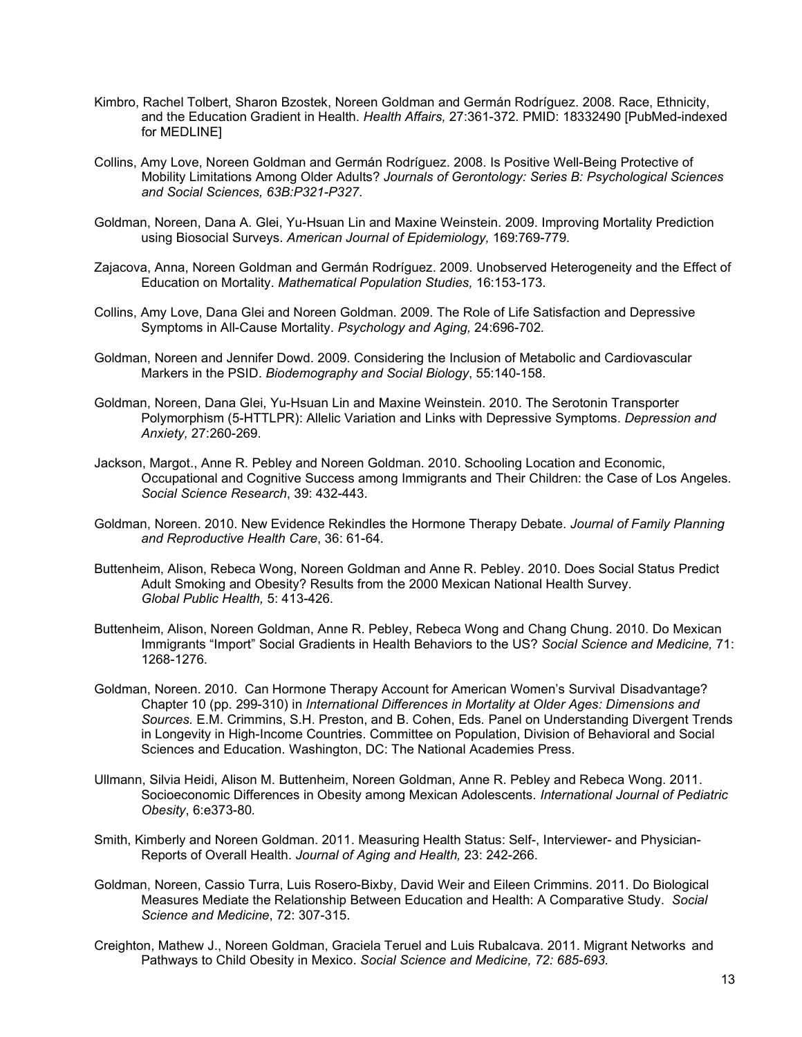- Kimbro, Rachel Tolbert, Sharon Bzostek, Noreen Goldman and Germán Rodríguez. 2008. Race, Ethnicity, and the Education Gradient in Health. *Health Affairs,* 27:361-372*.* PMID: 18332490 [PubMed-indexed for MEDLINE]
- Collins, Amy Love, Noreen Goldman and Germán Rodríguez. 2008. Is Positive Well-Being Protective of Mobility Limitations Among Older Adults? *Journals of Gerontology: Series B: Psychological Sciences and Social Sciences, 63B:P321-P327*.
- Goldman, Noreen, Dana A. Glei, Yu-Hsuan Lin and Maxine Weinstein. 2009. Improving Mortality Prediction using Biosocial Surveys. *American Journal of Epidemiology,* 169:769-779*.*
- Zajacova, Anna, Noreen Goldman and Germán Rodríguez. 2009. Unobserved Heterogeneity and the Effect of Education on Mortality. *Mathematical Population Studies,* 16:153-173.
- Collins, Amy Love, Dana Glei and Noreen Goldman. 2009. The Role of Life Satisfaction and Depressive Symptoms in All-Cause Mortality. *Psychology and Aging,* 24:696-702*.*
- Goldman, Noreen and Jennifer Dowd. 2009. Considering the Inclusion of Metabolic and Cardiovascular Markers in the PSID. *Biodemography and Social Biology*, 55:140-158.
- Goldman, Noreen, Dana Glei, Yu-Hsuan Lin and Maxine Weinstein. 2010. The Serotonin Transporter Polymorphism (5-HTTLPR): Allelic Variation and Links with Depressive Symptoms. *Depression and Anxiety,* 27:260-269.
- Jackson, Margot., Anne R. Pebley and Noreen Goldman. 2010. Schooling Location and Economic, Occupational and Cognitive Success among Immigrants and Their Children: the Case of Los Angeles. *Social Science Research*, 39: 432-443.
- Goldman, Noreen. 2010. New Evidence Rekindles the Hormone Therapy Debate. *Journal of Family Planning and Reproductive Health Care*, 36: 61-64.
- Buttenheim, Alison, Rebeca Wong, Noreen Goldman and Anne R. Pebley. 2010. Does Social Status Predict Adult Smoking and Obesity? Results from the 2000 Mexican National Health Survey. *Global Public Health,* 5: 413-426.
- Buttenheim, Alison, Noreen Goldman, Anne R. Pebley, Rebeca Wong and Chang Chung. 2010. Do Mexican Immigrants "Import" Social Gradients in Health Behaviors to the US? *Social Science and Medicine,* 71: 1268-1276.
- Goldman, Noreen. 2010. Can Hormone Therapy Account for American Women's Survival Disadvantage? Chapter 10 (pp. 299-310) in *International Differences in Mortality at Older Ages: Dimensions and Sources.* E.M. Crimmins, S.H. Preston, and B. Cohen, Eds*.* Panel on Understanding Divergent Trends in Longevity in High-Income Countries. Committee on Population, Division of Behavioral and Social Sciences and Education. Washington, DC: The National Academies Press.
- Ullmann, Silvia Heidi, Alison M. Buttenheim, Noreen Goldman, Anne R. Pebley and Rebeca Wong. 2011. Socioeconomic Differences in Obesity among Mexican Adolescents. *International Journal of Pediatric Obesity*, 6:e373-80*.*
- Smith, Kimberly and Noreen Goldman. 2011. Measuring Health Status: Self-, Interviewer- and Physician-Reports of Overall Health. *Journal of Aging and Health,* 23: 242-266.
- Goldman, Noreen, Cassio Turra, Luis Rosero-Bixby, David Weir and Eileen Crimmins. 2011. Do Biological Measures Mediate the Relationship Between Education and Health: A Comparative Study. *Social Science and Medicine*, 72: 307-315.
- Creighton, Mathew J., Noreen Goldman, Graciela Teruel and Luis Rubalcava. 2011. Migrant Networks and Pathways to Child Obesity in Mexico. *Social Science and Medicine, 72: 685-693.*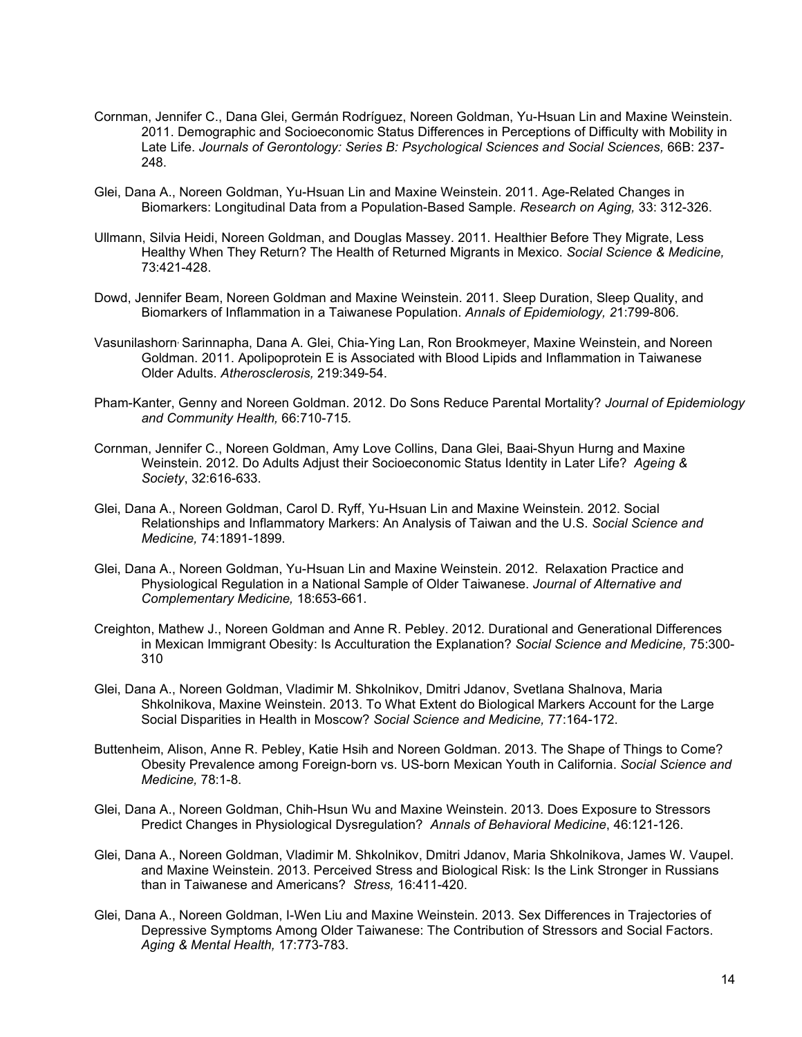- Cornman, Jennifer C., Dana Glei, Germán Rodríguez, Noreen Goldman, Yu-Hsuan Lin and Maxine Weinstein. 2011. Demographic and Socioeconomic Status Differences in Perceptions of Difficulty with Mobility in Late Life. *Journals of Gerontology: Series B: Psychological Sciences and Social Sciences,* 66B: 237- 248.
- Glei, Dana A., Noreen Goldman, Yu-Hsuan Lin and Maxine Weinstein. 2011. Age-Related Changes in Biomarkers: Longitudinal Data from a Population-Based Sample. *Research on Aging,* 33: 312-326.
- Ullmann, Silvia Heidi, Noreen Goldman, and Douglas Massey. 2011. Healthier Before They Migrate, Less Healthy When They Return? The Health of Returned Migrants in Mexico. *Social Science & Medicine,*  73:421-428.
- Dowd, Jennifer Beam, Noreen Goldman and Maxine Weinstein. 2011. Sleep Duration, Sleep Quality, and Biomarkers of Inflammation in a Taiwanese Population. *Annals of Epidemiology, 2*1:799-806*.*
- Vasunilashorn, Sarinnapha, Dana A. Glei, Chia-Ying Lan, Ron Brookmeyer, Maxine Weinstein, and Noreen Goldman. 2011. Apolipoprotein E is Associated with Blood Lipids and Inflammation in Taiwanese Older Adults. *Atherosclerosis,* 219:349-54.
- Pham-Kanter, Genny and Noreen Goldman. 2012. Do Sons Reduce Parental Mortality? *Journal of Epidemiology and Community Health,* 66:710-715*.*
- Cornman, Jennifer C., Noreen Goldman, Amy Love Collins, Dana Glei, Baai-Shyun Hurng and Maxine Weinstein. 2012. Do Adults Adjust their Socioeconomic Status Identity in Later Life? *Ageing & Society*, 32:616-633.
- Glei, Dana A., Noreen Goldman, Carol D. Ryff, Yu-Hsuan Lin and Maxine Weinstein. 2012. Social Relationships and Inflammatory Markers: An Analysis of Taiwan and the U.S. *Social Science and Medicine,* 74:1891-1899.
- Glei, Dana A., Noreen Goldman, Yu-Hsuan Lin and Maxine Weinstein. 2012. Relaxation Practice and Physiological Regulation in a National Sample of Older Taiwanese. *Journal of Alternative and Complementary Medicine,* 18:653-661.
- Creighton, Mathew J., Noreen Goldman and Anne R. Pebley. 2012. Durational and Generational Differences in Mexican Immigrant Obesity: Is Acculturation the Explanation? *Social Science and Medicine,* 75:300- 310
- Glei, Dana A., Noreen Goldman, Vladimir M. Shkolnikov, Dmitri Jdanov, Svetlana Shalnova, Maria Shkolnikova, Maxine Weinstein. 2013. To What Extent do Biological Markers Account for the Large Social Disparities in Health in Moscow? *Social Science and Medicine,* 77:164-172.
- Buttenheim, Alison, Anne R. Pebley, Katie Hsih and Noreen Goldman. 2013. The Shape of Things to Come? Obesity Prevalence among Foreign-born vs. US-born Mexican Youth in California. *Social Science and Medicine,* 78:1-8.
- Glei, Dana A., Noreen Goldman, Chih-Hsun Wu and Maxine Weinstein. 2013. Does Exposure to Stressors Predict Changes in Physiological Dysregulation? *Annals of Behavioral Medicine*, 46:121-126.
- Glei, Dana A., Noreen Goldman, Vladimir M. Shkolnikov, Dmitri Jdanov, Maria Shkolnikova, James W. Vaupel. and Maxine Weinstein. 2013. Perceived Stress and Biological Risk: Is the Link Stronger in Russians than in Taiwanese and Americans? *Stress,* 16:411-420.
- Glei, Dana A., Noreen Goldman, I-Wen Liu and Maxine Weinstein. 2013. Sex Differences in Trajectories of Depressive Symptoms Among Older Taiwanese: The Contribution of Stressors and Social Factors. *Aging & Mental Health,* 17:773-783.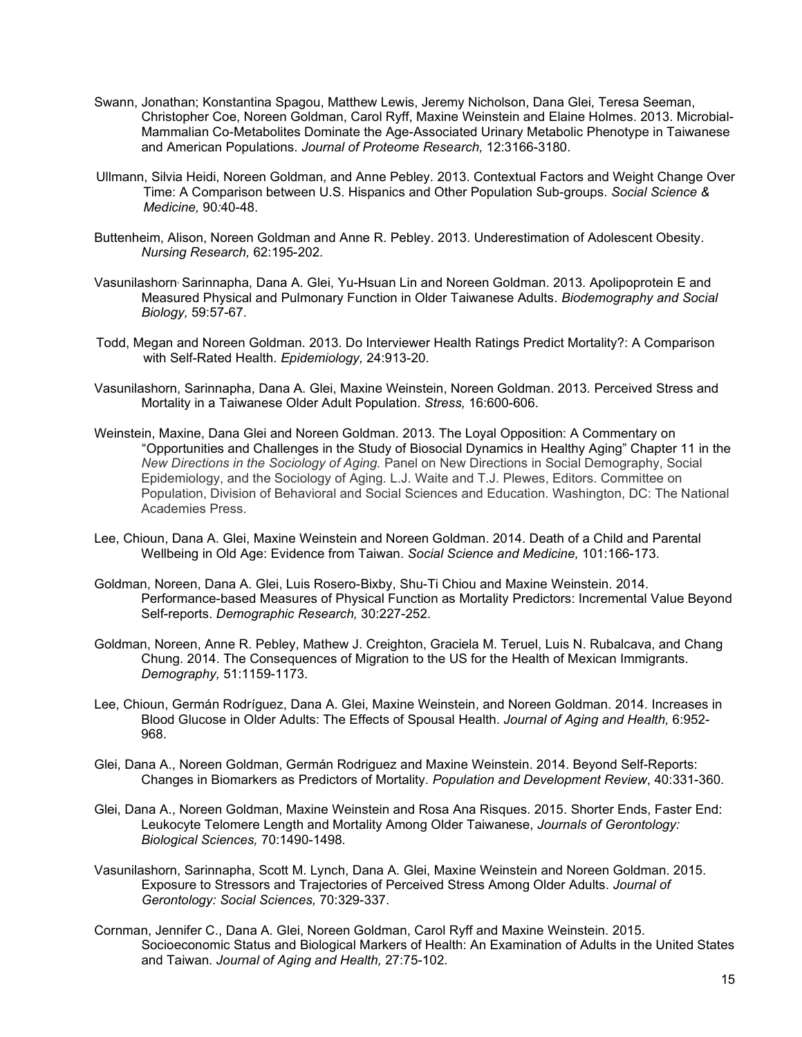- Swann, Jonathan; Konstantina Spagou, Matthew Lewis, Jeremy Nicholson, Dana Glei, Teresa Seeman, Christopher Coe, Noreen Goldman, Carol Ryff, Maxine Weinstein and Elaine Holmes. 2013. Microbial-Mammalian Co-Metabolites Dominate the Age-Associated Urinary Metabolic Phenotype in Taiwanese and American Populations. *Journal of Proteome Research,* 12:3166-3180.
- Ullmann, Silvia Heidi, Noreen Goldman, and Anne Pebley. 2013. Contextual Factors and Weight Change Over Time: A Comparison between U.S. Hispanics and Other Population Sub-groups. *Social Science & Medicine,* 90*:*40-48.
- Buttenheim, Alison, Noreen Goldman and Anne R. Pebley. 2013. Underestimation of Adolescent Obesity. *Nursing Research,* 62:195-202.
- Vasunilashorn, Sarinnapha, Dana A. Glei, Yu-Hsuan Lin and Noreen Goldman. 2013. Apolipoprotein E and Measured Physical and Pulmonary Function in Older Taiwanese Adults. *Biodemography and Social Biology,* 59:57-67.
- Todd, Megan and Noreen Goldman. 2013. Do Interviewer Health Ratings Predict Mortality?: A Comparison with Self-Rated Health. *Epidemiology,* 24:913-20.
- Vasunilashorn, Sarinnapha, Dana A. Glei, Maxine Weinstein, Noreen Goldman. 2013. Perceived Stress and Mortality in a Taiwanese Older Adult Population. *Stress,* 16:600-606.
- Weinstein, Maxine, Dana Glei and Noreen Goldman. 2013. The Loyal Opposition: A Commentary on "Opportunities and Challenges in the Study of Biosocial Dynamics in Healthy Aging" Chapter 11 in the *New Directions in the Sociology of Aging.* Panel on New Directions in Social Demography, Social Epidemiology, and the Sociology of Aging. L.J. Waite and T.J. Plewes, Editors. Committee on Population, Division of Behavioral and Social Sciences and Education. Washington, DC: The National Academies Press.
- Lee, Chioun, Dana A. Glei, Maxine Weinstein and Noreen Goldman. 2014. Death of a Child and Parental Wellbeing in Old Age: Evidence from Taiwan. *Social Science and Medicine,* 101:166-173.
- Goldman, Noreen, Dana A. Glei, Luis Rosero-Bixby, Shu-Ti Chiou and Maxine Weinstein. 2014. Performance-based Measures of Physical Function as Mortality Predictors: Incremental Value Beyond Self-reports. *Demographic Research,* 30:227-252.
- Goldman, Noreen, Anne R. Pebley, Mathew J. Creighton, Graciela M. Teruel, Luis N. Rubalcava, and Chang Chung. 2014. The Consequences of Migration to the US for the Health of Mexican Immigrants. *Demography,* 51:1159-1173.
- Lee, Chioun, Germán Rodríguez, Dana A. Glei, Maxine Weinstein, and Noreen Goldman. 2014. Increases in Blood Glucose in Older Adults: The Effects of Spousal Health. *Journal of Aging and Health,* 6:952- 968.
- Glei, Dana A., Noreen Goldman, Germán Rodriguez and Maxine Weinstein. 2014. Beyond Self-Reports: Changes in Biomarkers as Predictors of Mortality. *Population and Development Review*, 40:331-360.
- Glei, Dana A., Noreen Goldman, Maxine Weinstein and Rosa Ana Risques. 2015. Shorter Ends, Faster End: Leukocyte Telomere Length and Mortality Among Older Taiwanese, *Journals of Gerontology: Biological Sciences,* 70:1490-1498*.*
- Vasunilashorn, Sarinnapha, Scott M. Lynch, Dana A. Glei, Maxine Weinstein and Noreen Goldman. 2015. Exposure to Stressors and Trajectories of Perceived Stress Among Older Adults. *Journal of Gerontology: Social Sciences,* 70:329-337.
- Cornman, Jennifer C., Dana A. Glei, Noreen Goldman, Carol Ryff and Maxine Weinstein. 2015. Socioeconomic Status and Biological Markers of Health: An Examination of Adults in the United States and Taiwan. *Journal of Aging and Health,* 27:75-102.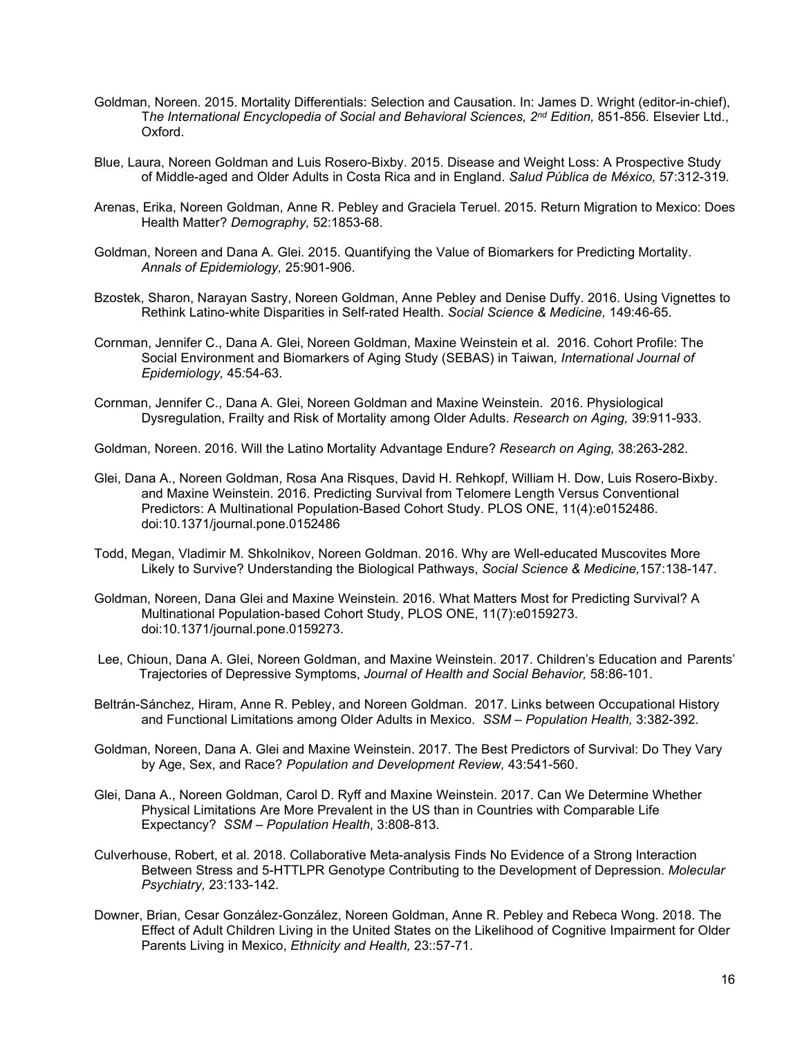- Goldman, Noreen. 2015. Mortality Differentials: Selection and Causation. In: James D. Wright (editor-in-chief), T*he International Encyclopedia of Social and Behavioral Sciences, 2nd Edition,* 851-856*.* Elsevier Ltd., Oxford.
- Blue, Laura, Noreen Goldman and Luis Rosero-Bixby. 2015. Disease and Weight Loss: A Prospective Study of Middle-aged and Older Adults in Costa Rica and in England. *Salud Pública de México,* 57:312-319.
- Arenas, Erika, Noreen Goldman, Anne R. Pebley and Graciela Teruel. 2015. Return Migration to Mexico: Does Health Matter? *Demography,* 52:1853-68.
- Goldman, Noreen and Dana A. Glei. 2015. Quantifying the Value of Biomarkers for Predicting Mortality. *Annals of Epidemiology,* 25:901-906.
- Bzostek, Sharon, Narayan Sastry, Noreen Goldman, Anne Pebley and Denise Duffy. 2016. Using Vignettes to Rethink Latino-white Disparities in Self-rated Health. *Social Science & Medicine,* 149:46-65.
- Cornman, Jennifer C., Dana A. Glei, Noreen Goldman, Maxine Weinstein et al. 2016. Cohort Profile: The Social Environment and Biomarkers of Aging Study (SEBAS) in Taiwan*, International Journal of Epidemiology,* 45*:*54-63.
- Cornman, Jennifer C., Dana A. Glei, Noreen Goldman and Maxine Weinstein. 2016. Physiological Dysregulation, Frailty and Risk of Mortality among Older Adults. *Research on Aging,* 39:911-933.
- Goldman, Noreen. 2016. Will the Latino Mortality Advantage Endure? *Research on Aging,* 38:263-282.
- Glei, Dana A., Noreen Goldman, Rosa Ana Risques, David H. Rehkopf, William H. Dow, Luis Rosero-Bixby. and Maxine Weinstein. 2016. Predicting Survival from Telomere Length Versus Conventional Predictors: A Multinational Population-Based Cohort Study. PLOS ONE, 11(4):e0152486. doi:10.1371/journal.pone.0152486
- Todd, Megan, Vladimir M. Shkolnikov, Noreen Goldman. 2016. Why are Well-educated Muscovites More Likely to Survive? Understanding the Biological Pathways, *Social Science & Medicine,*157:138-147.
- Goldman, Noreen, Dana Glei and Maxine Weinstein. 2016. What Matters Most for Predicting Survival? A Multinational Population-based Cohort Study, PLOS ONE, 11(7):e0159273. doi:10.1371/journal.pone.0159273.
- Lee, Chioun, Dana A. Glei, Noreen Goldman, and Maxine Weinstein. 2017. Children's Education and Parents' Trajectories of Depressive Symptoms, *Journal of Health and Social Behavior,* 58:86-101.
- Beltrán-Sánchez, Hiram, Anne R. Pebley, and Noreen Goldman. 2017. Links between Occupational History and Functional Limitations among Older Adults in Mexico. *SSM – Population Health,* 3:382-392.
- Goldman, Noreen, Dana A. Glei and Maxine Weinstein. 2017. The Best Predictors of Survival: Do They Vary by Age, Sex, and Race? *Population and Development Review,* 43:541-560.
- Glei, Dana A., Noreen Goldman, Carol D. Ryff and Maxine Weinstein. 2017. Can We Determine Whether Physical Limitations Are More Prevalent in the US than in Countries with Comparable Life Expectancy? *SSM – Population Health*, 3:808-813*.*
- Culverhouse, Robert, et al. 2018. Collaborative Meta-analysis Finds No Evidence of a Strong Interaction Between Stress and 5-HTTLPR Genotype Contributing to the Development of Depression. *Molecular Psychiatry,* 23:133-142.
- Downer, Brian, Cesar González-González, Noreen Goldman, Anne R. Pebley and Rebeca Wong. 2018. The Effect of Adult Children Living in the United States on the Likelihood of Cognitive Impairment for Older Parents Living in Mexico, *Ethnicity and Health,* 23::57-71.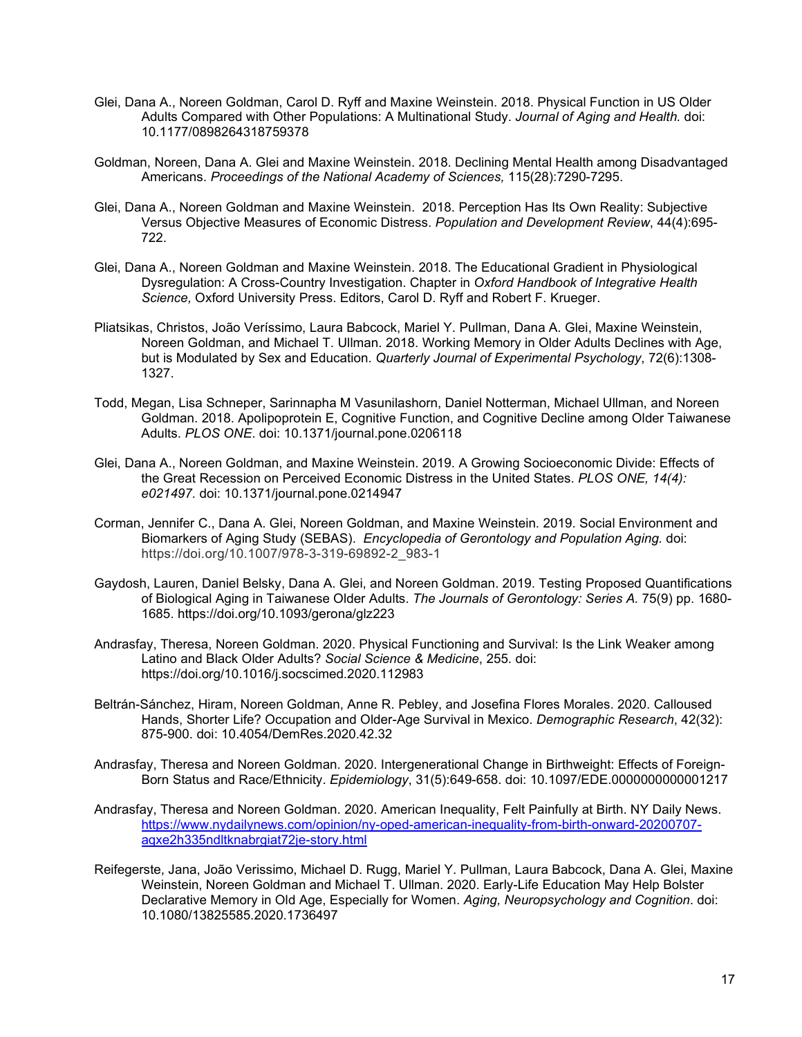- Glei, Dana A., Noreen Goldman, Carol D. Ryff and Maxine Weinstein. 2018. Physical Function in US Older Adults Compared with Other Populations: A Multinational Study. *Journal of Aging and Health.* doi: 10.1177/0898264318759378
- Goldman, Noreen, Dana A. Glei and Maxine Weinstein. 2018. Declining Mental Health among Disadvantaged Americans. *Proceedings of the National Academy of Sciences,* 115(28):7290-7295.
- Glei, Dana A., Noreen Goldman and Maxine Weinstein. 2018. Perception Has Its Own Reality: Subjective Versus Objective Measures of Economic Distress. *Population and Development Review*, 44(4):695- 722.
- Glei, Dana A., Noreen Goldman and Maxine Weinstein. 2018. The Educational Gradient in Physiological Dysregulation: A Cross-Country Investigation. Chapter in *Oxford Handbook of Integrative Health Science,* Oxford University Press. Editors, Carol D. Ryff and Robert F. Krueger.
- Pliatsikas, Christos, João Veríssimo, Laura Babcock, Mariel Y. Pullman, Dana A. Glei, Maxine Weinstein, Noreen Goldman, and Michael T. Ullman. 2018. Working Memory in Older Adults Declines with Age, but is Modulated by Sex and Education. *Quarterly Journal of Experimental Psychology*, 72(6):1308- 1327.
- Todd, Megan, Lisa Schneper, Sarinnapha M Vasunilashorn, Daniel Notterman, Michael Ullman, and Noreen Goldman. 2018. Apolipoprotein E, Cognitive Function, and Cognitive Decline among Older Taiwanese Adults. *PLOS ONE*. doi: 10.1371/journal.pone.0206118
- Glei, Dana A., Noreen Goldman, and Maxine Weinstein. 2019. A Growing Socioeconomic Divide: Effects of the Great Recession on Perceived Economic Distress in the United States. *PLOS ONE, 14(4): e021497.* doi: 10.1371/journal.pone.0214947
- Corman, Jennifer C., Dana A. Glei, Noreen Goldman, and Maxine Weinstein. 2019. Social Environment and Biomarkers of Aging Study (SEBAS). *Encyclopedia of Gerontology and Population Aging.* doi: https://doi.org/10.1007/978-3-319-69892-2\_983-1
- Gaydosh, Lauren, Daniel Belsky, Dana A. Glei, and Noreen Goldman. 2019. Testing Proposed Quantifications of Biological Aging in Taiwanese Older Adults. *The Journals of Gerontology: Series A.* 75(9) pp. 1680- 1685. https://doi.org/10.1093/gerona/glz223
- Andrasfay, Theresa, Noreen Goldman. 2020. Physical Functioning and Survival: Is the Link Weaker among Latino and Black Older Adults? *Social Science & Medicine*, 255. doi: https://doi.org/10.1016/j.socscimed.2020.112983
- Beltrán-Sánchez, Hiram, Noreen Goldman, Anne R. Pebley, and Josefina Flores Morales. 2020. Calloused Hands, Shorter Life? Occupation and Older-Age Survival in Mexico. *Demographic Research*, 42(32): 875-900. doi: 10.4054/DemRes.2020.42.32
- Andrasfay, Theresa and Noreen Goldman. 2020. Intergenerational Change in Birthweight: Effects of Foreign-Born Status and Race/Ethnicity. *Epidemiology*, 31(5):649-658. doi: 10.1097/EDE.0000000000001217
- Andrasfay, Theresa and Noreen Goldman. 2020. American Inequality, Felt Painfully at Birth. NY Daily News. [https://www.nydailynews.com/opinion/ny-oped-american-inequality-from-birth-onward-20200707](https://www.nydailynews.com/opinion/ny-oped-american-inequality-from-birth-onward-20200707-aqxe2h335ndltknabrgiat72je-story.html) [aqxe2h335ndltknabrgiat72je-story.html](https://www.nydailynews.com/opinion/ny-oped-american-inequality-from-birth-onward-20200707-aqxe2h335ndltknabrgiat72je-story.html)
- Reifegerste, Jana, João Verissimo, Michael D. Rugg, Mariel Y. Pullman, Laura Babcock, Dana A. Glei, Maxine Weinstein, Noreen Goldman and Michael T. Ullman. 2020. Early-Life Education May Help Bolster Declarative Memory in Old Age, Especially for Women. *Aging, Neuropsychology and Cognition*. doi: 10.1080/13825585.2020.1736497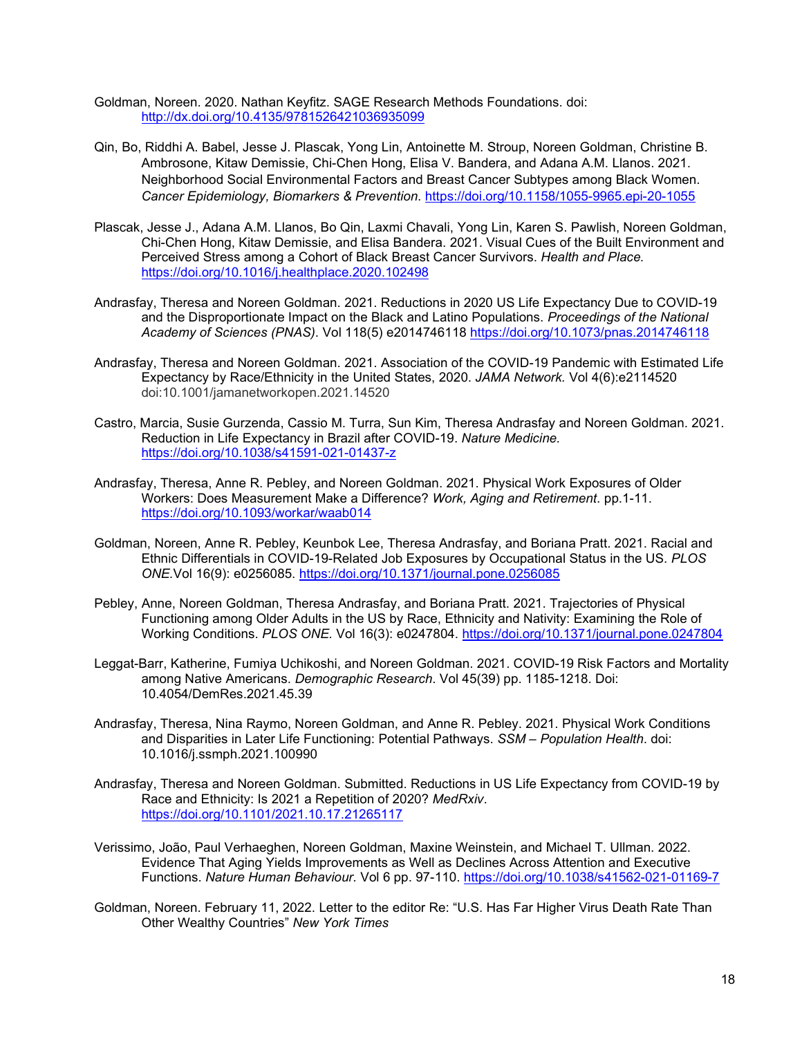Goldman, Noreen. 2020. Nathan Keyfitz. SAGE Research Methods Foundations. doi: <http://dx.doi.org/10.4135/9781526421036935099>

- Qin, Bo, Riddhi A. Babel, Jesse J. Plascak, Yong Lin, Antoinette M. Stroup, Noreen Goldman, Christine B. Ambrosone, Kitaw Demissie, Chi-Chen Hong, Elisa V. Bandera, and Adana A.M. Llanos. 2021. Neighborhood Social Environmental Factors and Breast Cancer Subtypes among Black Women. *Cancer Epidemiology, Biomarkers & Prevention*.<https://doi.org/10.1158/1055-9965.epi-20-1055>
- Plascak, Jesse J., Adana A.M. Llanos, Bo Qin, Laxmi Chavali, Yong Lin, Karen S. Pawlish, Noreen Goldman, Chi-Chen Hong, Kitaw Demissie, and Elisa Bandera. 2021. Visual Cues of the Built Environment and Perceived Stress among a Cohort of Black Breast Cancer Survivors. *Health and Place.* <https://doi.org/10.1016/j.healthplace.2020.102498>
- Andrasfay, Theresa and Noreen Goldman. 2021. Reductions in 2020 US Life Expectancy Due to COVID-19 and the Disproportionate Impact on the Black and Latino Populations. *Proceedings of the National Academy of Sciences (PNAS)*. Vol 118(5) e2014746118<https://doi.org/10.1073/pnas.2014746118>
- Andrasfay, Theresa and Noreen Goldman. 2021. Association of the COVID-19 Pandemic with Estimated Life Expectancy by Race/Ethnicity in the United States, 2020. *JAMA Network.* Vol 4(6):e2114520 doi:10.1001/jamanetworkopen.2021.14520
- Castro, Marcia, Susie Gurzenda, Cassio M. Turra, Sun Kim, Theresa Andrasfay and Noreen Goldman. 2021. Reduction in Life Expectancy in Brazil after COVID-19. *Nature Medicine.*  <https://doi.org/10.1038/s41591-021-01437-z>
- Andrasfay, Theresa, Anne R. Pebley, and Noreen Goldman. 2021. Physical Work Exposures of Older Workers: Does Measurement Make a Difference? *Work, Aging and Retirement*. pp.1-11. <https://doi.org/10.1093/workar/waab014>
- Goldman, Noreen, Anne R. Pebley, Keunbok Lee, Theresa Andrasfay, and Boriana Pratt. 2021. Racial and Ethnic Differentials in COVID-19-Related Job Exposures by Occupational Status in the US. *PLOS ONE.*Vol 16(9): e0256085. <https://doi.org/10.1371/journal.pone.0256085>
- Pebley, Anne, Noreen Goldman, Theresa Andrasfay, and Boriana Pratt. 2021. Trajectories of Physical Functioning among Older Adults in the US by Race, Ethnicity and Nativity: Examining the Role of Working Conditions. *PLOS ONE.* Vol 16(3): e0247804.<https://doi.org/10.1371/journal.pone.0247804>
- Leggat-Barr, Katherine, Fumiya Uchikoshi, and Noreen Goldman. 2021. COVID-19 Risk Factors and Mortality among Native Americans. *Demographic Research*. Vol 45(39) pp. 1185-1218. Doi: 10.4054/DemRes.2021.45.39
- Andrasfay, Theresa, Nina Raymo, Noreen Goldman, and Anne R. Pebley. 2021. Physical Work Conditions and Disparities in Later Life Functioning: Potential Pathways. *SSM – Population Health*. doi: 10.1016/j.ssmph.2021.100990
- Andrasfay, Theresa and Noreen Goldman. Submitted. Reductions in US Life Expectancy from COVID-19 by Race and Ethnicity: Is 2021 a Repetition of 2020? *MedRxiv*. <https://doi.org/10.1101/2021.10.17.21265117>
- Verissimo, João, Paul Verhaeghen, Noreen Goldman, Maxine Weinstein, and Michael T. Ullman. 2022. Evidence That Aging Yields Improvements as Well as Declines Across Attention and Executive Functions. *Nature Human Behaviour.* Vol 6 pp. 97-110. <https://doi.org/10.1038/s41562-021-01169-7>
- Goldman, Noreen. February 11, 2022. Letter to the editor Re: "U.S. Has Far Higher Virus Death Rate Than Other Wealthy Countries" *New York Times*